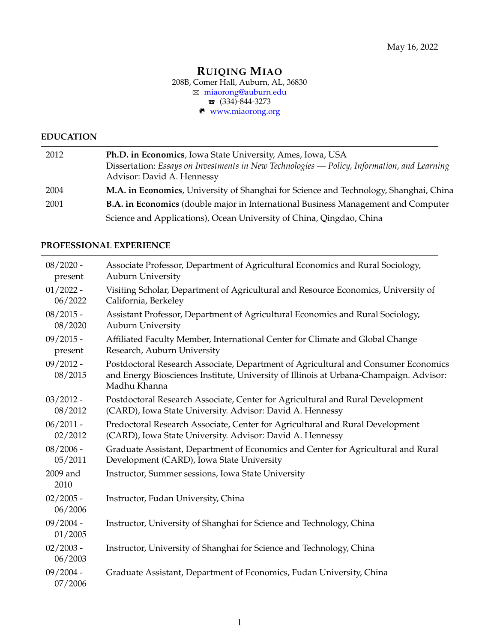## **RUIQING MIAO** 208B, Comer Hall, Auburn, AL, 36830 B miaorong@auburn.edu  $\bullet$  (334)-844-3273  $w$  <www.miaorong.org>

## **EDUCATION**

| 2012 | Ph.D. in Economics, Iowa State University, Ames, Iowa, USA                                  |  |
|------|---------------------------------------------------------------------------------------------|--|
|      | Dissertation: Essays on Investments in New Technologies — Policy, Information, and Learning |  |
|      | Advisor: David A. Hennessy                                                                  |  |
| 2004 | M.A. in Economics, University of Shanghai for Science and Technology, Shanghai, China       |  |
| 2001 | <b>B.A. in Economics</b> (double major in International Business Management and Computer    |  |
|      | Science and Applications), Ocean University of China, Qingdao, China                        |  |

# **PROFESSIONAL EXPERIENCE**

| $08/2020$ -            | Associate Professor, Department of Agricultural Economics and Rural Sociology,                                                                                                               |
|------------------------|----------------------------------------------------------------------------------------------------------------------------------------------------------------------------------------------|
| present                | Auburn University                                                                                                                                                                            |
| $01/2022 -$            | Visiting Scholar, Department of Agricultural and Resource Economics, University of                                                                                                           |
| 06/2022                | California, Berkeley                                                                                                                                                                         |
| $08/2015$ -            | Assistant Professor, Department of Agricultural Economics and Rural Sociology,                                                                                                               |
| 08/2020                | Auburn University                                                                                                                                                                            |
| $09/2015$ -            | Affiliated Faculty Member, International Center for Climate and Global Change                                                                                                                |
| present                | Research, Auburn University                                                                                                                                                                  |
| $09/2012 -$<br>08/2015 | Postdoctoral Research Associate, Department of Agricultural and Consumer Economics<br>and Energy Biosciences Institute, University of Illinois at Urbana-Champaign. Advisor:<br>Madhu Khanna |
| $03/2012 -$            | Postdoctoral Research Associate, Center for Agricultural and Rural Development                                                                                                               |
| 08/2012                | (CARD), Iowa State University. Advisor: David A. Hennessy                                                                                                                                    |
| $06/2011 -$            | Predoctoral Research Associate, Center for Agricultural and Rural Development                                                                                                                |
| 02/2012                | (CARD), Iowa State University. Advisor: David A. Hennessy                                                                                                                                    |
| $08/2006 -$            | Graduate Assistant, Department of Economics and Center for Agricultural and Rural                                                                                                            |
| 05/2011                | Development (CARD), Iowa State University                                                                                                                                                    |
| 2009 and<br>2010       | Instructor, Summer sessions, Iowa State University                                                                                                                                           |
| $02/2005 -$<br>06/2006 | Instructor, Fudan University, China                                                                                                                                                          |
| $09/2004 -$<br>01/2005 | Instructor, University of Shanghai for Science and Technology, China                                                                                                                         |
| $02/2003 -$<br>06/2003 | Instructor, University of Shanghai for Science and Technology, China                                                                                                                         |
| $09/2004 -$<br>07/2006 | Graduate Assistant, Department of Economics, Fudan University, China                                                                                                                         |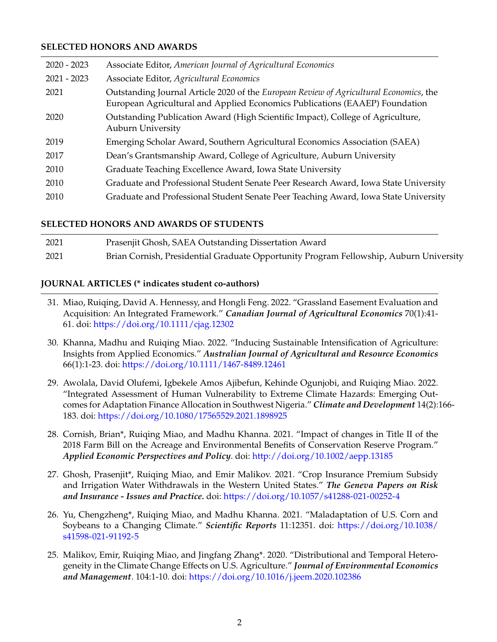## **SELECTED HONORS AND AWARDS**

| Associate Editor, American Journal of Agricultural Economics                                                                                                          |
|-----------------------------------------------------------------------------------------------------------------------------------------------------------------------|
| Associate Editor, Agricultural Economics                                                                                                                              |
| Outstanding Journal Article 2020 of the European Review of Agricultural Economics, the<br>European Agricultural and Applied Economics Publications (EAAEP) Foundation |
| Outstanding Publication Award (High Scientific Impact), College of Agriculture,<br><b>Auburn University</b>                                                           |
| Emerging Scholar Award, Southern Agricultural Economics Association (SAEA)                                                                                            |
| Dean's Grantsmanship Award, College of Agriculture, Auburn University                                                                                                 |
| Graduate Teaching Excellence Award, Iowa State University                                                                                                             |
| Graduate and Professional Student Senate Peer Research Award, Iowa State University                                                                                   |
| Graduate and Professional Student Senate Peer Teaching Award, Iowa State University                                                                                   |
|                                                                                                                                                                       |

#### **SELECTED HONORS AND AWARDS OF STUDENTS**

| 2021 | Prasenjit Ghosh, SAEA Outstanding Dissertation Award                                   |
|------|----------------------------------------------------------------------------------------|
| 2021 | Brian Cornish, Presidential Graduate Opportunity Program Fellowship, Auburn University |

#### **JOURNAL ARTICLES (\* indicates student co-authors)**

- 31. Miao, Ruiqing, David A. Hennessy, and Hongli Feng. 2022. "Grassland Easement Evaluation and Acquisition: An Integrated Framework." *Canadian Journal of Agricultural Economics* 70(1):41- 61. doi: <https://doi.org/10.1111/cjag.12302>
- 30. Khanna, Madhu and Ruiqing Miao. 2022. "Inducing Sustainable Intensification of Agriculture: Insights from Applied Economics." *Australian Journal of Agricultural and Resource Economics* 66(1):1-23. doi: <https://doi.org/10.1111/1467-8489.12461>
- 29. Awolala, David Olufemi, Igbekele Amos Ajibefun, Kehinde Ogunjobi, and Ruiqing Miao. 2022. "Integrated Assessment of Human Vulnerability to Extreme Climate Hazards: Emerging Outcomes for Adaptation Finance Allocation in Southwest Nigeria." *Climate and Development* 14(2):166- 183. doi: <https://doi.org/10.1080/17565529.2021.1898925>
- 28. Cornish, Brian\*, Ruiqing Miao, and Madhu Khanna. 2021. "Impact of changes in Title II of the 2018 Farm Bill on the Acreage and Environmental Benefits of Conservation Reserve Program." *Applied Economic Perspectives and Policy*. doi: <http://doi.org/10.1002/aepp.13185>
- 27. Ghosh, Prasenjit\*, Ruiqing Miao, and Emir Malikov. 2021. "Crop Insurance Premium Subsidy and Irrigation Water Withdrawals in the Western United States." *The Geneva Papers on Risk and Insurance - Issues and Practice.* doi: <https://doi.org/10.1057/s41288-021-00252-4>
- 26. Yu, Chengzheng\*, Ruiqing Miao, and Madhu Khanna. 2021. "Maladaptation of U.S. Corn and Soybeans to a Changing Climate." *Scientific Reports* 11:12351. doi: [https://doi.org/10.1038/](https://doi.org/10.1038/s41598-021-91192-5) [s41598-021-91192-5](https://doi.org/10.1038/s41598-021-91192-5)
- 25. Malikov, Emir, Ruiqing Miao, and Jingfang Zhang\*. 2020. "Distributional and Temporal Heterogeneity in the Climate Change Effects on U.S. Agriculture." *Journal of Environmental Economics and Management*. 104:1-10. doi: <https://doi.org/10.1016/j.jeem.2020.102386>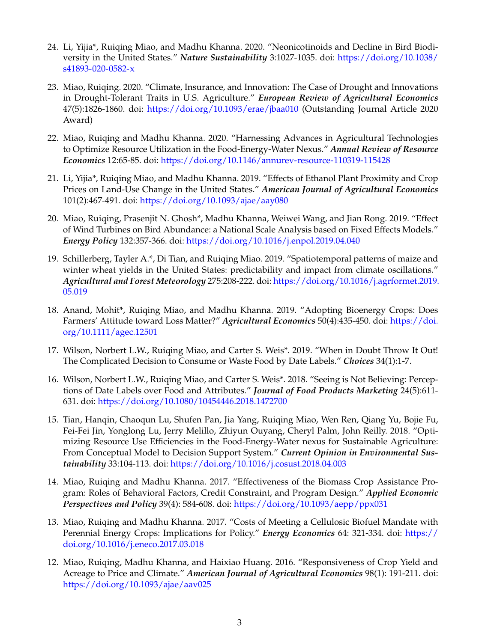- 24. Li, Yijia\*, Ruiqing Miao, and Madhu Khanna. 2020. "Neonicotinoids and Decline in Bird Biodiversity in the United States." *Nature Sustainability* 3:1027-1035. doi: [https://doi.org/10.1038/](https://doi.org/10.1038/s41893-020-0582-x) [s41893-020-0582-x](https://doi.org/10.1038/s41893-020-0582-x)
- 23. Miao, Ruiqing. 2020. "Climate, Insurance, and Innovation: The Case of Drought and Innovations in Drought-Tolerant Traits in U.S. Agriculture." *European Review of Agricultural Economics* 47(5):1826-1860. doi: <https://doi.org/10.1093/erae/jbaa010> (Outstanding Journal Article 2020 Award)
- 22. Miao, Ruiqing and Madhu Khanna. 2020. "Harnessing Advances in Agricultural Technologies to Optimize Resource Utilization in the Food-Energy-Water Nexus." *Annual Review of Resource Economics* 12:65-85. doi: <https://doi.org/10.1146/annurev-resource-110319-115428>
- 21. Li, Yijia\*, Ruiqing Miao, and Madhu Khanna. 2019. "Effects of Ethanol Plant Proximity and Crop Prices on Land-Use Change in the United States." *American Journal of Agricultural Economics* 101(2):467-491. doi: <https://doi.org/10.1093/ajae/aay080>
- 20. Miao, Ruiqing, Prasenjit N. Ghosh\*, Madhu Khanna, Weiwei Wang, and Jian Rong. 2019. "Effect of Wind Turbines on Bird Abundance: a National Scale Analysis based on Fixed Effects Models." *Energy Policy* 132:357-366. doi: <https://doi.org/10.1016/j.enpol.2019.04.040>
- 19. Schillerberg, Tayler A.\*, Di Tian, and Ruiqing Miao. 2019. "Spatiotemporal patterns of maize and winter wheat yields in the United States: predictability and impact from climate oscillations." *Agricultural and Forest Meteorology* 275:208-222. doi: [https://doi.org/10.1016/j.agrformet.2019.](https://doi.org/10.1016/j.agrformet.2019.05.019) [05.019](https://doi.org/10.1016/j.agrformet.2019.05.019)
- 18. Anand, Mohit\*, Ruiqing Miao, and Madhu Khanna. 2019. "Adopting Bioenergy Crops: Does Farmers' Attitude toward Loss Matter?" *Agricultural Economics* 50(4):435-450. doi: [https://doi.](https://doi.org/10.1111/agec.12501) [org/10.1111/agec.12501](https://doi.org/10.1111/agec.12501)
- 17. Wilson, Norbert L.W., Ruiqing Miao, and Carter S. Weis\*. 2019. "When in Doubt Throw It Out! The Complicated Decision to Consume or Waste Food by Date Labels." *Choices* 34(1):1-7.
- 16. Wilson, Norbert L.W., Ruiqing Miao, and Carter S. Weis\*. 2018. "Seeing is Not Believing: Perceptions of Date Labels over Food and Attributes." *Journal of Food Products Marketing* 24(5):611- 631. doi: <https://doi.org/10.1080/10454446.2018.1472700>
- 15. Tian, Hanqin, Chaoqun Lu, Shufen Pan, Jia Yang, Ruiqing Miao, Wen Ren, Qiang Yu, Bojie Fu, Fei-Fei Jin, Yonglong Lu, Jerry Melillo, Zhiyun Ouyang, Cheryl Palm, John Reilly. 2018. "Optimizing Resource Use Efficiencies in the Food-Energy-Water nexus for Sustainable Agriculture: From Conceptual Model to Decision Support System." *Current Opinion in Environmental Sustainability* 33:104-113. doi: <https://doi.org/10.1016/j.cosust.2018.04.003>
- 14. Miao, Ruiqing and Madhu Khanna. 2017. "Effectiveness of the Biomass Crop Assistance Program: Roles of Behavioral Factors, Credit Constraint, and Program Design." *Applied Economic Perspectives and Policy* 39(4): 584-608. doi: <https://doi.org/10.1093/aepp/ppx031>
- 13. Miao, Ruiqing and Madhu Khanna. 2017. "Costs of Meeting a Cellulosic Biofuel Mandate with Perennial Energy Crops: Implications for Policy." *Energy Economics* 64: 321-334. doi: [https://](https://doi.org/10.1016/j.eneco.2017.03.018) [doi.org/10.1016/j.eneco.2017.03.018](https://doi.org/10.1016/j.eneco.2017.03.018)
- 12. Miao, Ruiqing, Madhu Khanna, and Haixiao Huang. 2016. "Responsiveness of Crop Yield and Acreage to Price and Climate." *American Journal of Agricultural Economics* 98(1): 191-211. doi: <https://doi.org/10.1093/ajae/aav025>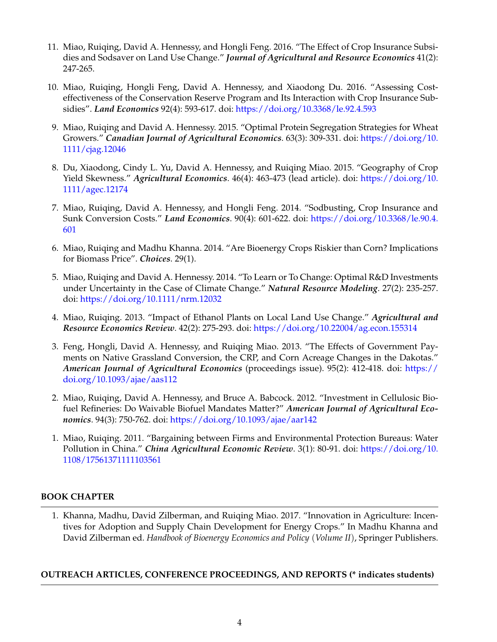- 11. Miao, Ruiqing, David A. Hennessy, and Hongli Feng. 2016. "The Effect of Crop Insurance Subsidies and Sodsaver on Land Use Change." *Journal of Agricultural and Resource Economics* 41(2): 247-265.
- 10. Miao, Ruiqing, Hongli Feng, David A. Hennessy, and Xiaodong Du. 2016. "Assessing Costeffectiveness of the Conservation Reserve Program and Its Interaction with Crop Insurance Subsidies". *Land Economics* 92(4): 593-617. doi: <https://doi.org/10.3368/le.92.4.593>
- 9. Miao, Ruiqing and David A. Hennessy. 2015. "Optimal Protein Segregation Strategies for Wheat Growers." *Canadian Journal of Agricultural Economics*. 63(3): 309-331. doi: [https://doi.org/10.](https://doi.org/10.1111/cjag.12046) [1111/cjag.12046](https://doi.org/10.1111/cjag.12046)
- 8. Du, Xiaodong, Cindy L. Yu, David A. Hennessy, and Ruiqing Miao. 2015. "Geography of Crop Yield Skewness." *Agricultural Economics*. 46(4): 463-473 (lead article). doi: [https://doi.org/10.](https://doi.org/10.1111/agec.12174) [1111/agec.12174](https://doi.org/10.1111/agec.12174)
- 7. Miao, Ruiqing, David A. Hennessy, and Hongli Feng. 2014. "Sodbusting, Crop Insurance and Sunk Conversion Costs." *Land Economics*. 90(4): 601-622. doi: [https://doi.org/10.3368/le.90.4.](https://doi.org/10.3368/le.90.4.601) [601](https://doi.org/10.3368/le.90.4.601)
- 6. Miao, Ruiqing and Madhu Khanna. 2014. "Are Bioenergy Crops Riskier than Corn? Implications for Biomass Price". *Choices*. 29(1).
- 5. Miao, Ruiqing and David A. Hennessy. 2014. "To Learn or To Change: Optimal R&D Investments under Uncertainty in the Case of Climate Change." *Natural Resource Modeling*. 27(2): 235-257. doi: <https://doi.org/10.1111/nrm.12032>
- 4. Miao, Ruiqing. 2013. "Impact of Ethanol Plants on Local Land Use Change." *Agricultural and Resource Economics Review*. 42(2): 275-293. doi: <https://doi.org/10.22004/ag.econ.155314>
- 3. Feng, Hongli, David A. Hennessy, and Ruiqing Miao. 2013. "The Effects of Government Payments on Native Grassland Conversion, the CRP, and Corn Acreage Changes in the Dakotas." *American Journal of Agricultural Economics* (proceedings issue). 95(2): 412-418. doi: [https://](https://doi.org/10.1093/ajae/aas112) [doi.org/10.1093/ajae/aas112](https://doi.org/10.1093/ajae/aas112)
- 2. Miao, Ruiqing, David A. Hennessy, and Bruce A. Babcock. 2012. "Investment in Cellulosic Biofuel Refineries: Do Waivable Biofuel Mandates Matter?" *American Journal of Agricultural Economics*. 94(3): 750-762. doi: <https://doi.org/10.1093/ajae/aar142>
- 1. Miao, Ruiqing. 2011. "Bargaining between Firms and Environmental Protection Bureaus: Water Pollution in China." *China Agricultural Economic Review*. 3(1): 80-91. doi: [https://doi.org/10.](https://doi.org/10.1108/17561371111103561) [1108/17561371111103561](https://doi.org/10.1108/17561371111103561)

# **BOOK CHAPTER**

1. Khanna, Madhu, David Zilberman, and Ruiqing Miao. 2017. "Innovation in Agriculture: Incentives for Adoption and Supply Chain Development for Energy Crops." In Madhu Khanna and David Zilberman ed. *Handbook of Bioenergy Economics and Policy* (*Volume II*), Springer Publishers.

## **OUTREACH ARTICLES, CONFERENCE PROCEEDINGS, AND REPORTS (\* indicates students)**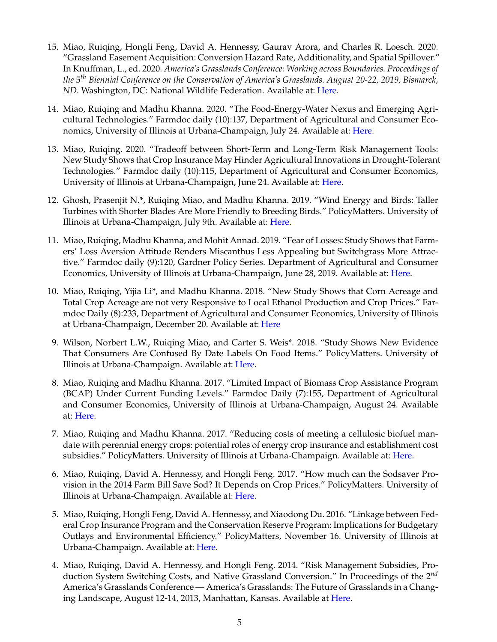- 15. Miao, Ruiqing, Hongli Feng, David A. Hennessy, Gaurav Arora, and Charles R. Loesch. 2020. "Grassland Easement Acquisition: Conversion Hazard Rate, Additionality, and Spatial Spillover." In Knuffman, L., ed. 2020. *America's Grasslands Conference: Working across Boundaries. Proceedings of the* 5 *th Biennial Conference on the Conservation of America's Grasslands. August 20-22, 2019, Bismarck, ND.* Washington, DC: National Wildlife Federation. Available at: [Here.](https://www.nwf.org/-/media/Documents/PDFs/Our-Lands/2019-America-Grasslands-Conference-Proceedings.ashx?la=en&hash=6D643148A4A44E46DAC1239AE0A80D6A5D5514A0)
- 14. Miao, Ruiqing and Madhu Khanna. 2020. "The Food-Energy-Water Nexus and Emerging Agricultural Technologies." Farmdoc daily (10):137, Department of Agricultural and Consumer Economics, University of Illinois at Urbana-Champaign, July 24. Available at: [Here.](https://farmdocdaily.illinois.edu/2020/07/the-food-energy-water-nexus-and-emerging-agricultural-technologies.html)
- 13. Miao, Ruiqing. 2020. "Tradeoff between Short-Term and Long-Term Risk Management Tools: New Study Shows that Crop Insurance May Hinder Agricultural Innovations in Drought-Tolerant Technologies." Farmdoc daily (10):115, Department of Agricultural and Consumer Economics, University of Illinois at Urbana-Champaign, June 24. Available at: [Here.](https://farmdocdaily.illinois.edu/2020/06/tradeoff-between-short-term-and-long-term-risk-management-tools.html)
- 12. Ghosh, Prasenjit N.\*, Ruiqing Miao, and Madhu Khanna. 2019. "Wind Energy and Birds: Taller Turbines with Shorter Blades Are More Friendly to Breeding Birds." PolicyMatters. University of Illinois at Urbana-Champaign, July 9th. Available at: [Here.](http://policymatters.illinois.edu/wind-energy-and-birds/)
- 11. Miao, Ruiqing, Madhu Khanna, and Mohit Annad. 2019. "Fear of Losses: Study Shows that Farmers' Loss Aversion Attitude Renders Miscanthus Less Appealing but Switchgrass More Attractive." Farmdoc daily (9):120, Gardner Policy Series. Department of Agricultural and Consumer Economics, University of Illinois at Urbana-Champaign, June 28, 2019. Available at: [Here.](https://farmdocdaily.illinois.edu/2019/06/fear-of-losses-study-shows-that-farmers-loss-aversion-attitude-renders-miscanthus-less-appealing-but-switchgrass-more-attractive.html)
- 10. Miao, Ruiqing, Yijia Li\*, and Madhu Khanna. 2018. "New Study Shows that Corn Acreage and Total Crop Acreage are not very Responsive to Local Ethanol Production and Crop Prices." Farmdoc Daily (8):233, Department of Agricultural and Consumer Economics, University of Illinois at Urbana-Champaign, December 20. Available at: [Here](https://farmdocdaily.illinois.edu/2018/12/new-study-shows-that-corn-acreage-and-total-crop-acreage-are-not-very-responsive-to-local-ethanol-production-and-crop-prices.html)
- 9. Wilson, Norbert L.W., Ruiqing Miao, and Carter S. Weis\*. 2018. "Study Shows New Evidence That Consumers Are Confused By Date Labels On Food Items." PolicyMatters. University of Illinois at Urbana-Champaign. Available at: [Here.](http://policymatters.illinois.edu/study-shows-new-evidence-that-consumers-are-confused-by-date-labels-on-food-items/)
- 8. Miao, Ruiqing and Madhu Khanna. 2017. "Limited Impact of Biomass Crop Assistance Program (BCAP) Under Current Funding Levels." Farmdoc Daily (7):155, Department of Agricultural and Consumer Economics, University of Illinois at Urbana-Champaign, August 24. Available at: [Here.](http://farmdocdaily.illinois.edu/2017/08/limited-impact-biomass-crop-assistance-program.html)
- 7. Miao, Ruiqing and Madhu Khanna. 2017. "Reducing costs of meeting a cellulosic biofuel mandate with perennial energy crops: potential roles of energy crop insurance and establishment cost subsidies." PolicyMatters. University of Illinois at Urbana-Champaign. Available at: [Here.](http://policymatters.illinois.edu/reducing-costs-of-meeting-a-cellulosic-biofuel-mandate-with-perennial-energy-crops-potential-roles-of-energy-crop-insurance-and-establishment-cost-subsidies/)
- 6. Miao, Ruiqing, David A. Hennessy, and Hongli Feng. 2017. "How much can the Sodsaver Provision in the 2014 Farm Bill Save Sod? It Depends on Crop Prices." PolicyMatters. University of Illinois at Urbana-Champaign. Available at: [Here.](http://policymatters.illinois.edu/how-much-can-the-sodsaver-provision-in-the-2014-farm-bill-save-sod-it-depends-on-crop-prices/)
- 5. Miao, Ruiqing, Hongli Feng, David A. Hennessy, and Xiaodong Du. 2016. "Linkage between Federal Crop Insurance Program and the Conservation Reserve Program: Implications for Budgetary Outlays and Environmental Efficiency." PolicyMatters, November 16. University of Illinois at Urbana-Champaign. Available at: [Here.](http://policymatters.illinois.edu/linkage-between-federal-crop-insurance-program-and-the-conservation-reserve-program-implications-for-budgetary-outlays-and-environmental-efficiency/)
- 4. Miao, Ruiqing, David A. Hennessy, and Hongli Feng. 2014. "Risk Management Subsidies, Production System Switching Costs, and Native Grassland Conversion." In Proceedings of the 2*nd* America's Grasslands Conference — America's Grasslands: The Future of Grasslands in a Changing Landscape, August 12-14, 2013, Manhattan, Kansas. Available at [Here.](http://www.nwf.org/~/media/PDFs/Media%20Center%20-%20Press%20Releases/2014/Americas-Grasslands-Conference-Proceedings_FINAL_MED_RES-031314.pdf)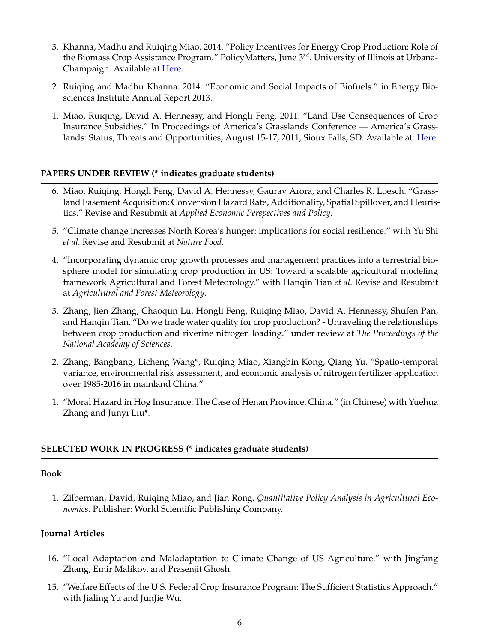- 3. Khanna, Madhu and Ruiqing Miao. 2014. "Policy Incentives for Energy Crop Production: Role of the Biomass Crop Assistance Program." PolicyMatters, June 3*rd*. University of Illinois at Urbana-Champaign. Available at [Here.](http://policymatters.illinois.edu/policy-incentives-for-energy-crop-production-role-of-the-biomass-crop-assistance-program/)
- 2. Ruiqing and Madhu Khanna. 2014. "Economic and Social Impacts of Biofuels." in Energy Biosciences Institute Annual Report 2013.
- 1. Miao, Ruiqing, David A. Hennessy, and Hongli Feng. 2011. "Land Use Consequences of Crop Insurance Subsidies." In Proceedings of America's Grasslands Conference — America's Grass-lands: Status, Threats and Opportunities, August 15-17, 2011, Sioux Falls, SD. Available at: [Here.](https://www.nwf.org/~/media/PDFs/Global-Warming/Policy-Solutions/Americas%20Grasslands%20Conference%20Proceedings061312.ashx)

# **PAPERS UNDER REVIEW (\* indicates graduate students)**

- 6. Miao, Ruiqing, Hongli Feng, David A. Hennessy, Gaurav Arora, and Charles R. Loesch. "Grassland Easement Acquisition: Conversion Hazard Rate, Additionality, Spatial Spillover, and Heuristics." Revise and Resubmit at *Applied Economic Perspectives and Policy*.
- 5. "Climate change increases North Korea's hunger: implications for social resilience." with Yu Shi *et al.* Revise and Resubmit at *Nature Food*.
- 4. "Incorporating dynamic crop growth processes and management practices into a terrestrial biosphere model for simulating crop production in US: Toward a scalable agricultural modeling framework Agricultural and Forest Meteorology." with Hanqin Tian *et al.* Revise and Resubmit at *Agricultural and Forest Meteorology*.
- 3. Zhang, Jien Zhang, Chaoqun Lu, Hongli Feng, Ruiqing Miao, David A. Hennessy, Shufen Pan, and Hanqin Tian. "Do we trade water quality for crop production? - Unraveling the relationships between crop production and riverine nitrogen loading." under review at *The Proceedings of the National Academy of Sciences.*
- 2. Zhang, Bangbang, Licheng Wang\*, Ruiqing Miao, Xiangbin Kong, Qiang Yu. "Spatio-temporal variance, environmental risk assessment, and economic analysis of nitrogen fertilizer application over 1985-2016 in mainland China."
- 1. "Moral Hazard in Hog Insurance: The Case of Henan Province, China." (in Chinese) with Yuehua Zhang and Junyi Liu\*.

# **SELECTED WORK IN PROGRESS (\* indicates graduate students)**

## **Book**

1. Zilberman, David, Ruiqing Miao, and Jian Rong. *Quantitative Policy Analysis in Agricultural Economics*. Publisher: World Scientific Publishing Company.

# **Journal Articles**

- 16. "Local Adaptation and Maladaptation to Climate Change of US Agriculture." with Jingfang Zhang, Emir Malikov, and Prasenjit Ghosh.
- 15. "Welfare Effects of the U.S. Federal Crop Insurance Program: The Sufficient Statistics Approach." with Jialing Yu and JunJie Wu.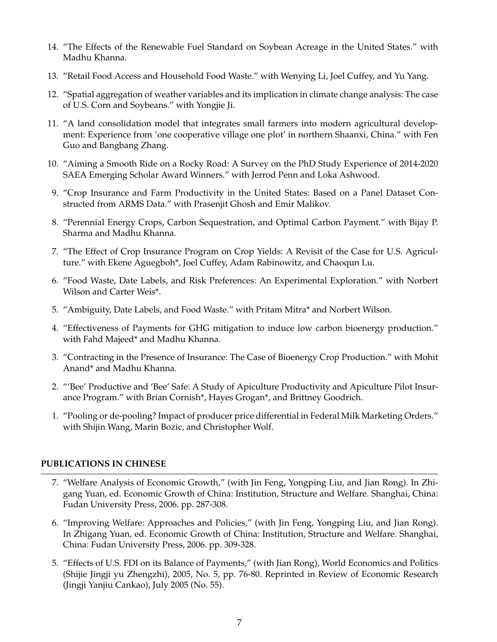- 14. "The Effects of the Renewable Fuel Standard on Soybean Acreage in the United States." with Madhu Khanna.
- 13. "Retail Food Access and Household Food Waste." with Wenying Li, Joel Cuffey, and Yu Yang.
- 12. "Spatial aggregation of weather variables and its implication in climate change analysis: The case of U.S. Corn and Soybeans." with Yongjie Ji.
- 11. "A land consolidation model that integrates small farmers into modern agricultural development: Experience from 'one cooperative village one plot' in northern Shaanxi, China." with Fen Guo and Bangbang Zhang.
- 10. "Aiming a Smooth Ride on a Rocky Road: A Survey on the PhD Study Experience of 2014-2020 SAEA Emerging Scholar Award Winners." with Jerrod Penn and Loka Ashwood.
- 9. "Crop Insurance and Farm Productivity in the United States: Based on a Panel Dataset Constructed from ARMS Data." with Prasenjit Ghosh and Emir Malikov.
- 8. "Perennial Energy Crops, Carbon Sequestration, and Optimal Carbon Payment." with Bijay P. Sharma and Madhu Khanna.
- 7. "The Effect of Crop Insurance Program on Crop Yields: A Revisit of the Case for U.S. Agriculture." with Ekene Aguegboh\*, Joel Cuffey, Adam Rabinowitz, and Chaoqun Lu.
- 6. "Food Waste, Date Labels, and Risk Preferences: An Experimental Exploration." with Norbert Wilson and Carter Weis\*.
- 5. "Ambiguity, Date Labels, and Food Waste." with Pritam Mitra\* and Norbert Wilson.
- 4. "Effectiveness of Payments for GHG mitigation to induce low carbon bioenergy production." with Fahd Majeed\* and Madhu Khanna.
- 3. "Contracting in the Presence of Insurance: The Case of Bioenergy Crop Production." with Mohit Anand\* and Madhu Khanna.
- 2. "'Bee' Productive and 'Bee' Safe: A Study of Apiculture Productivity and Apiculture Pilot Insurance Program." with Brian Cornish\*, Hayes Grogan\*, and Brittney Goodrich.
- 1. "Pooling or de-pooling? Impact of producer price differential in Federal Milk Marketing Orders." with Shijin Wang, Marin Bozic, and Christopher Wolf.

# **PUBLICATIONS IN CHINESE**

- 7. "Welfare Analysis of Economic Growth," (with Jin Feng, Yongping Liu, and Jian Rong). In Zhigang Yuan, ed. Economic Growth of China: Institution, Structure and Welfare. Shanghai, China: Fudan University Press, 2006. pp. 287-308.
- 6. "Improving Welfare: Approaches and Policies," (with Jin Feng, Yongping Liu, and Jian Rong). In Zhigang Yuan, ed. Economic Growth of China: Institution, Structure and Welfare. Shanghai, China: Fudan University Press, 2006. pp. 309-328.
- 5. "Effects of U.S. FDI on its Balance of Payments," (with Jian Rong), World Economics and Politics (Shijie Jingji yu Zhengzhi), 2005, No. 5, pp. 76-80. Reprinted in Review of Economic Research (Jingji Yanjiu Cankao), July 2005 (No. 55).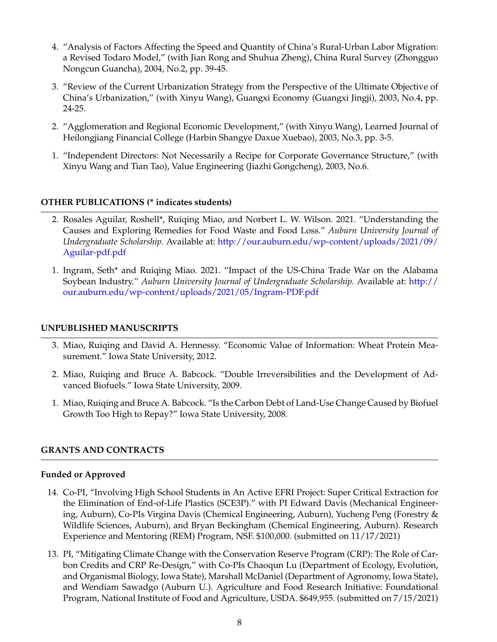- 4. "Analysis of Factors Affecting the Speed and Quantity of China's Rural-Urban Labor Migration: a Revised Todaro Model," (with Jian Rong and Shuhua Zheng), China Rural Survey (Zhongguo Nongcun Guancha), 2004, No.2, pp. 39-45.
- 3. "Review of the Current Urbanization Strategy from the Perspective of the Ultimate Objective of China's Urbanization," (with Xinyu Wang), Guangxi Economy (Guangxi Jingji), 2003, No.4, pp. 24-25.
- 2. "Agglomeration and Regional Economic Development," (with Xinyu Wang), Learned Journal of Heilongjiang Financial College (Harbin Shangye Daxue Xuebao), 2003, No.3, pp. 3-5.
- 1. "Independent Directors: Not Necessarily a Recipe for Corporate Governance Structure," (with Xinyu Wang and Tian Tao), Value Engineering (Jiazhi Gongcheng), 2003, No.6.

# **OTHER PUBLICATIONS (\* indicates students)**

- 2. Rosales Aguilar, Roshell\*, Ruiqing Miao, and Norbert L. W. Wilson. 2021. "Understanding the Causes and Exploring Remedies for Food Waste and Food Loss." *Auburn University Journal of Undergraduate Scholarship.* Available at: [http://our.auburn.edu/wp-content/uploads/2021/09/](http://our.auburn.edu/wp-content/uploads/2021/09/Aguilar-pdf.pdf) [Aguilar-pdf.pdf](http://our.auburn.edu/wp-content/uploads/2021/09/Aguilar-pdf.pdf)
- 1. Ingram, Seth\* and Ruiqing Miao. 2021. "Impact of the US-China Trade War on the Alabama Soybean Industry." *Auburn University Journal of Undergraduate Scholarship.* Available at: [http://](http://our.auburn.edu/wp-content/uploads/2021/05/Ingram-PDF.pdf) [our.auburn.edu/wp-content/uploads/2021/05/Ingram-PDF.pdf](http://our.auburn.edu/wp-content/uploads/2021/05/Ingram-PDF.pdf)

# **UNPUBLISHED MANUSCRIPTS**

- 3. Miao, Ruiqing and David A. Hennessy. "Economic Value of Information: Wheat Protein Measurement." Iowa State University, 2012.
- 2. Miao, Ruiqing and Bruce A. Babcock. "Double Irreversibilities and the Development of Advanced Biofuels." Iowa State University, 2009.
- 1. Miao, Ruiqing and Bruce A. Babcock. "Is the Carbon Debt of Land-Use Change Caused by Biofuel Growth Too High to Repay?" Iowa State University, 2008.

# **GRANTS AND CONTRACTS**

# **Funded or Approved**

- 14. Co-PI, "Involving High School Students in An Active EFRI Project: Super Critical Extraction for the Elimination of End-of-Life Plastics (SCE3P)." with PI Edward Davis (Mechanical Engineering, Auburn), Co-PIs Virgina Davis (Chemical Engineering, Auburn), Yucheng Peng (Forestry & Wildlife Sciences, Auburn), and Bryan Beckingham (Chemical Engineering, Auburn). Research Experience and Mentoring (REM) Program, NSF. \$100,000. (submitted on 11/17/2021)
- 13. PI, "Mitigating Climate Change with the Conservation Reserve Program (CRP): The Role of Carbon Credits and CRP Re-Design," with Co-PIs Chaoqun Lu (Department of Ecology, Evolution, and Organismal Biology, Iowa State), Marshall McDaniel (Department of Agronomy, Iowa State), and Wendiam Sawadgo (Auburn U.). Agriculture and Food Research Initiative: Foundational Program, National Institute of Food and Agriculture, USDA. \$649,955. (submitted on 7/15/2021)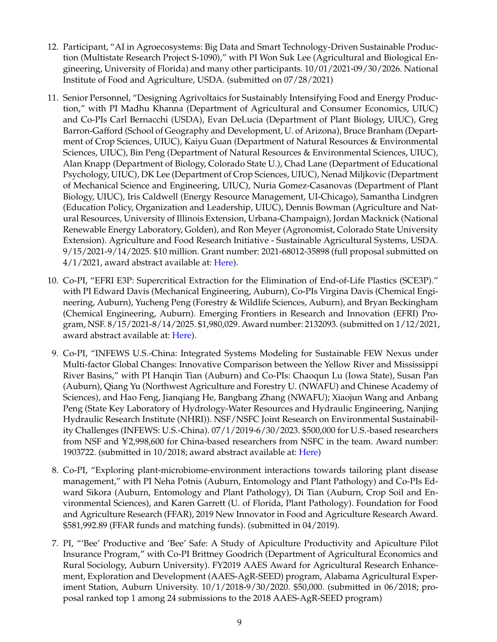- 12. Participant, "AI in Agroecosystems: Big Data and Smart Technology-Driven Sustainable Production (Multistate Research Project S-1090)," with PI Won Suk Lee (Agricultural and Biological Engineering, University of Florida) and many other participants. 10/01/2021-09/30/2026. National Institute of Food and Agriculture, USDA. (submitted on 07/28/2021)
- 11. Senior Personnel, "Designing Agrivoltaics for Sustainably Intensifying Food and Energy Production," with PI Madhu Khanna (Department of Agricultural and Consumer Economics, UIUC) and Co-PIs Carl Bernacchi (USDA), Evan DeLucia (Department of Plant Biology, UIUC), Greg Barron-Gafford (School of Geography and Development, U. of Arizona), Bruce Branham (Department of Crop Sciences, UIUC), Kaiyu Guan (Department of Natural Resources & Environmental Sciences, UIUC), Bin Peng (Department of Natural Resources & Environmental Sciences, UIUC), Alan Knapp (Department of Biology, Colorado State U.), Chad Lane (Department of Educational Psychology, UIUC), DK Lee (Department of Crop Sciences, UIUC), Nenad Miljkovic (Department of Mechanical Science and Engineering, UIUC), Nuria Gomez-Casanovas (Department of Plant Biology, UIUC), Iris Caldwell (Energy Resource Management, UI-Chicago), Samantha Lindgren (Education Policy, Organization and Leadership, UIUC), Dennis Bowman (Agriculture and Natural Resources, University of Illinois Extension, Urbana-Champaign), Jordan Macknick (National Renewable Energy Laboratory, Golden), and Ron Meyer (Agronomist, Colorado State University Extension). Agriculture and Food Research Initiative - Sustainable Agricultural Systems, USDA. 9/15/2021-9/14/2025. \$10 million. Grant number: 2021-68012-35898 (full proposal submitted on  $4/1/2021$ , award abstract available at: [Here\)](https://cris.nifa.usda.gov/cgi-bin/starfinder/0?path=fastlink1.txt&id=anon&pass=&search=R=94424&format=WEBLINK).
- 10. Co-PI, "EFRI E3P: Supercritical Extraction for the Elimination of End-of-Life Plastics (SCE3P)." with PI Edward Davis (Mechanical Engineering, Auburn), Co-PIs Virgina Davis (Chemical Engineering, Auburn), Yucheng Peng (Forestry & Wildlife Sciences, Auburn), and Bryan Beckingham (Chemical Engineering, Auburn). Emerging Frontiers in Research and Innovation (EFRI) Program, NSF. 8/15/2021-8/14/2025. \$1,980,029. Award number: 2132093. (submitted on 1/12/2021, award abstract available at: [Here\)](https://www.nsf.gov/awardsearch/showAward?AWD_ID=2132093&HistoricalAwards=false).
- 9. Co-PI, "INFEWS U.S.-China: Integrated Systems Modeling for Sustainable FEW Nexus under Multi-factor Global Changes: Innovative Comparison between the Yellow River and Mississippi River Basins," with PI Hanqin Tian (Auburn) and Co-PIs: Chaoqun Lu (Iowa State), Susan Pan (Auburn), Qiang Yu (Northwest Agriculture and Forestry U. (NWAFU) and Chinese Academy of Sciences), and Hao Feng, Jianqiang He, Bangbang Zhang (NWAFU); Xiaojun Wang and Anbang Peng (State Key Laboratory of Hydrology-Water Resources and Hydraulic Engineering, Nanjing Hydraulic Research Institute (NHRI)). NSF/NSFC Joint Research on Environmental Sustainability Challenges (INFEWS: U.S.-China). 07/1/2019-6/30/2023. \$500,000 for U.S.-based researchers from NSF and  $\text{\textless}2,998,600$  for China-based researchers from NSFC in the team. Award number: 1903722. (submitted in 10/2018; award abstract available at: [Here\)](https://www.nsf.gov/awardsearch/showAward?AWD_ID=1903722)
- 8. Co-PI, "Exploring plant-microbiome-environment interactions towards tailoring plant disease management," with PI Neha Potnis (Auburn, Entomology and Plant Pathology) and Co-PIs Edward Sikora (Auburn, Entomology and Plant Pathology), Di Tian (Auburn, Crop Soil and Environmental Sciences), and Karen Garrett (U. of Florida, Plant Pathology). Foundation for Food and Agriculture Research (FFAR), 2019 New Innovator in Food and Agriculture Research Award. \$581,992.89 (FFAR funds and matching funds). (submitted in 04/2019).
- 7. PI, "'Bee' Productive and 'Bee' Safe: A Study of Apiculture Productivity and Apiculture Pilot Insurance Program," with Co-PI Brittney Goodrich (Department of Agricultural Economics and Rural Sociology, Auburn University). FY2019 AAES Award for Agricultural Research Enhancement, Exploration and Development (AAES-AgR-SEED) program, Alabama Agricultural Experiment Station, Auburn University. 10/1/2018-9/30/2020. \$50,000. (submitted in 06/2018; proposal ranked top 1 among 24 submissions to the 2018 AAES-AgR-SEED program)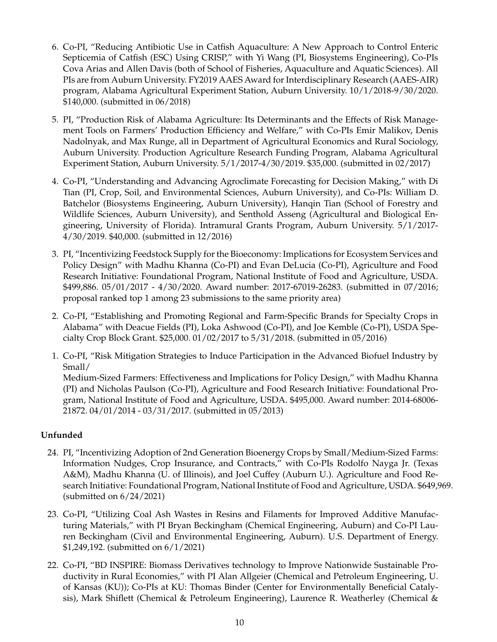- 6. Co-PI, "Reducing Antibiotic Use in Catfish Aquaculture: A New Approach to Control Enteric Septicemia of Catfish (ESC) Using CRISP," with Yi Wang (PI, Biosystems Engineering), Co-PIs Cova Arias and Allen Davis (both of School of Fisheries, Aquaculture and Aquatic Sciences). All PIs are from Auburn University. FY2019 AAES Award for Interdisciplinary Research (AAES-AIR) program, Alabama Agricultural Experiment Station, Auburn University. 10/1/2018-9/30/2020. \$140,000. (submitted in 06/2018)
- 5. PI, "Production Risk of Alabama Agriculture: Its Determinants and the Effects of Risk Management Tools on Farmers' Production Efficiency and Welfare," with Co-PIs Emir Malikov, Denis Nadolnyak, and Max Runge, all in Department of Agricultural Economics and Rural Sociology, Auburn University. Production Agriculture Research Funding Program, Alabama Agricultural Experiment Station, Auburn University. 5/1/2017-4/30/2019. \$35,000. (submitted in 02/2017)
- 4. Co-PI, "Understanding and Advancing Agroclimate Forecasting for Decision Making," with Di Tian (PI, Crop, Soil, and Environmental Sciences, Auburn University), and Co-PIs: William D. Batchelor (Biosystems Engineering, Auburn University), Hanqin Tian (School of Forestry and Wildlife Sciences, Auburn University), and Senthold Asseng (Agricultural and Biological Engineering, University of Florida). Intramural Grants Program, Auburn University. 5/1/2017- 4/30/2019. \$40,000. (submitted in 12/2016)
- 3. PI, "Incentivizing Feedstock Supply for the Bioeconomy: Implications for Ecosystem Services and Policy Design" with Madhu Khanna (Co-PI) and Evan DeLucia (Co-PI), Agriculture and Food Research Initiative: Foundational Program, National Institute of Food and Agriculture, USDA. \$499,886. 05/01/2017 - 4/30/2020. Award number: 2017-67019-26283. (submitted in 07/2016; proposal ranked top 1 among 23 submissions to the same priority area)
- 2. Co-PI, "Establishing and Promoting Regional and Farm-Specific Brands for Specialty Crops in Alabama" with Deacue Fields (PI), Loka Ashwood (Co-PI), and Joe Kemble (Co-PI), USDA Specialty Crop Block Grant. \$25,000. 01/02/2017 to 5/31/2018. (submitted in 05/2016)
- 1. Co-PI, "Risk Mitigation Strategies to Induce Participation in the Advanced Biofuel Industry by Small/ Medium-Sized Farmers: Effectiveness and Implications for Policy Design," with Madhu Khanna (PI) and Nicholas Paulson (Co-PI), Agriculture and Food Research Initiative: Foundational Program, National Institute of Food and Agriculture, USDA. \$495,000. Award number: 2014-68006- 21872. 04/01/2014 - 03/31/2017. (submitted in 05/2013)

# **Unfunded**

- 24. PI, "Incentivizing Adoption of 2nd Generation Bioenergy Crops by Small/Medium-Sized Farms: Information Nudges, Crop Insurance, and Contracts," with Co-PIs Rodolfo Nayga Jr. (Texas A&M), Madhu Khanna (U. of Illinois), and Joel Cuffey (Auburn U.). Agriculture and Food Research Initiative: Foundational Program, National Institute of Food and Agriculture, USDA. \$649,969. (submitted on 6/24/2021)
- 23. Co-PI, "Utilizing Coal Ash Wastes in Resins and Filaments for Improved Additive Manufacturing Materials," with PI Bryan Beckingham (Chemical Engineering, Auburn) and Co-PI Lauren Beckingham (Civil and Environmental Engineering, Auburn). U.S. Department of Energy. \$1,249,192. (submitted on 6/1/2021)
- 22. Co-PI, "BD INSPIRE: Biomass Derivatives technology to Improve Nationwide Sustainable Productivity in Rural Economies," with PI Alan Allgeier (Chemical and Petroleum Engineering, U. of Kansas (KU)); Co-PIs at KU: Thomas Binder (Center for Environmentally Beneficial Catalysis), Mark Shiflett (Chemical & Petroleum Engineering), Laurence R. Weatherley (Chemical &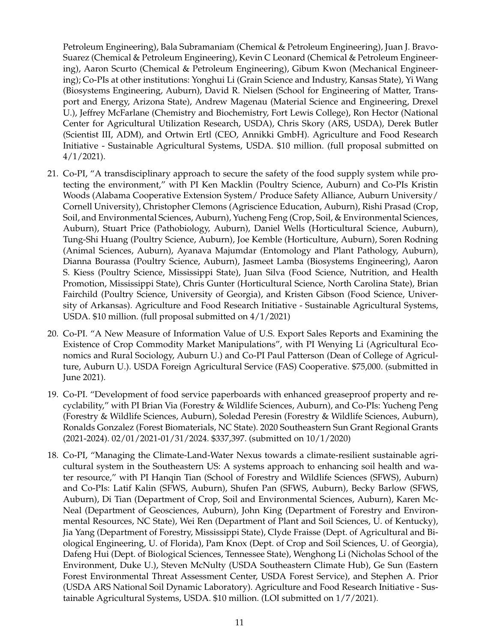Petroleum Engineering), Bala Subramaniam (Chemical & Petroleum Engineering), Juan J. Bravo-Suarez (Chemical & Petroleum Engineering), Kevin C Leonard (Chemical & Petroleum Engineering), Aaron Scurto (Chemical & Petroleum Engineering), Gibum Kwon (Mechanical Engineering); Co-PIs at other institutions: Yonghui Li (Grain Science and Industry, Kansas State), Yi Wang (Biosystems Engineering, Auburn), David R. Nielsen (School for Engineering of Matter, Transport and Energy, Arizona State), Andrew Magenau (Material Science and Engineering, Drexel U.), Jeffrey McFarlane (Chemistry and Biochemistry, Fort Lewis College), Ron Hector (National Center for Agricultural Utilization Research, USDA), Chris Skory (ARS, USDA), Derek Butler (Scientist III, ADM), and Ortwin Ertl (CEO, Annikki GmbH). Agriculture and Food Research Initiative - Sustainable Agricultural Systems, USDA. \$10 million. (full proposal submitted on  $4/1/2021$ ).

- 21. Co-PI, "A transdisciplinary approach to secure the safety of the food supply system while protecting the environment," with PI Ken Macklin (Poultry Science, Auburn) and Co-PIs Kristin Woods (Alabama Cooperative Extension System/ Produce Safety Alliance, Auburn University/ Cornell University), Christopher Clemons (Agriscience Education, Auburn), Rishi Prasad (Crop, Soil, and Environmental Sciences, Auburn), Yucheng Feng (Crop, Soil, & Environmental Sciences, Auburn), Stuart Price (Pathobiology, Auburn), Daniel Wells (Horticultural Science, Auburn), Tung-Shi Huang (Poultry Science, Auburn), Joe Kemble (Horticulture, Auburn), Soren Rodning (Animal Sciences, Auburn), Ayanava Majumdar (Entomology and Plant Pathology, Auburn), Dianna Bourassa (Poultry Science, Auburn), Jasmeet Lamba (Biosystems Engineering), Aaron S. Kiess (Poultry Science, Mississippi State), Juan Silva (Food Science, Nutrition, and Health Promotion, Mississippi State), Chris Gunter (Horticultural Science, North Carolina State), Brian Fairchild (Poultry Science, University of Georgia), and Kristen Gibson (Food Science, University of Arkansas). Agriculture and Food Research Initiative - Sustainable Agricultural Systems, USDA. \$10 million. (full proposal submitted on 4/1/2021)
- 20. Co-PI. "A New Measure of Information Value of U.S. Export Sales Reports and Examining the Existence of Crop Commodity Market Manipulations", with PI Wenying Li (Agricultural Economics and Rural Sociology, Auburn U.) and Co-PI Paul Patterson (Dean of College of Agriculture, Auburn U.). USDA Foreign Agricultural Service (FAS) Cooperative. \$75,000. (submitted in June 2021).
- 19. Co-PI. "Development of food service paperboards with enhanced greaseproof property and recyclability," with PI Brian Via (Forestry & Wildlife Sciences, Auburn), and Co-PIs: Yucheng Peng (Forestry & Wildlife Sciences, Auburn), Soledad Peresin (Forestry & Wildlife Sciences, Auburn), Ronalds Gonzalez (Forest Biomaterials, NC State). 2020 Southeastern Sun Grant Regional Grants (2021-2024). 02/01/2021-01/31/2024. \$337,397. (submitted on 10/1/2020)
- 18. Co-PI, "Managing the Climate-Land-Water Nexus towards a climate-resilient sustainable agricultural system in the Southeastern US: A systems approach to enhancing soil health and water resource," with PI Hanqin Tian (School of Forestry and Wildlife Sciences (SFWS), Auburn) and Co-PIs: Latif Kalin (SFWS, Auburn), Shufen Pan (SFWS, Auburn), Becky Barlow (SFWS, Auburn), Di Tian (Department of Crop, Soil and Environmental Sciences, Auburn), Karen Mc-Neal (Department of Geosciences, Auburn), John King (Department of Forestry and Environmental Resources, NC State), Wei Ren (Department of Plant and Soil Sciences, U. of Kentucky), Jia Yang (Department of Forestry, Mississippi State), Clyde Fraisse (Dept. of Agricultural and Biological Engineering, U. of Florida), Pam Knox (Dept. of Crop and Soil Sciences, U. of Georgia), Dafeng Hui (Dept. of Biological Sciences, Tennessee State), Wenghong Li (Nicholas School of the Environment, Duke U.), Steven McNulty (USDA Southeastern Climate Hub), Ge Sun (Eastern Forest Environmental Threat Assessment Center, USDA Forest Service), and Stephen A. Prior (USDA ARS National Soil Dynamic Laboratory). Agriculture and Food Research Initiative - Sustainable Agricultural Systems, USDA. \$10 million. (LOI submitted on 1/7/2021).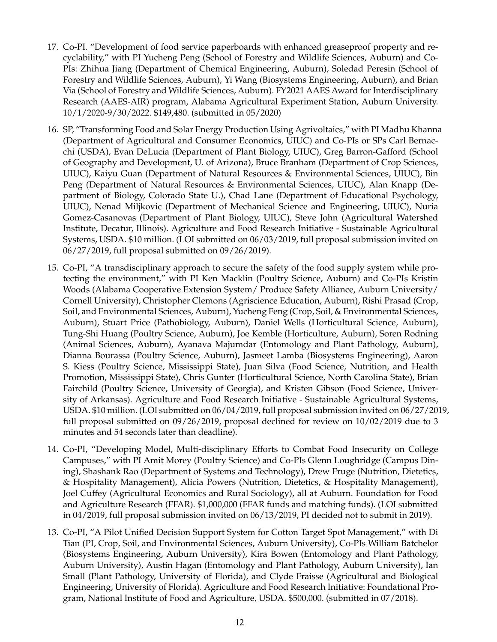- 17. Co-PI. "Development of food service paperboards with enhanced greaseproof property and recyclability," with PI Yucheng Peng (School of Forestry and Wildlife Sciences, Auburn) and Co-PIs: Zhihua Jiang (Department of Chemical Engineering, Auburn), Soledad Peresin (School of Forestry and Wildlife Sciences, Auburn), Yi Wang (Biosystems Engineering, Auburn), and Brian Via (School of Forestry and Wildlife Sciences, Auburn). FY2021 AAES Award for Interdisciplinary Research (AAES-AIR) program, Alabama Agricultural Experiment Station, Auburn University. 10/1/2020-9/30/2022. \$149,480. (submitted in 05/2020)
- 16. SP, "Transforming Food and Solar Energy Production Using Agrivoltaics," with PI Madhu Khanna (Department of Agricultural and Consumer Economics, UIUC) and Co-PIs or SPs Carl Bernacchi (USDA), Evan DeLucia (Department of Plant Biology, UIUC), Greg Barron-Gafford (School of Geography and Development, U. of Arizona), Bruce Branham (Department of Crop Sciences, UIUC), Kaiyu Guan (Department of Natural Resources & Environmental Sciences, UIUC), Bin Peng (Department of Natural Resources & Environmental Sciences, UIUC), Alan Knapp (Department of Biology, Colorado State U.), Chad Lane (Department of Educational Psychology, UIUC), Nenad Miljkovic (Department of Mechanical Science and Engineering, UIUC), Nuria Gomez-Casanovas (Department of Plant Biology, UIUC), Steve John (Agricultural Watershed Institute, Decatur, Illinois). Agriculture and Food Research Initiative - Sustainable Agricultural Systems, USDA. \$10 million. (LOI submitted on 06/03/2019, full proposal submission invited on 06/27/2019, full proposal submitted on 09/26/2019).
- 15. Co-PI, "A transdisciplinary approach to secure the safety of the food supply system while protecting the environment," with PI Ken Macklin (Poultry Science, Auburn) and Co-PIs Kristin Woods (Alabama Cooperative Extension System/ Produce Safety Alliance, Auburn University/ Cornell University), Christopher Clemons (Agriscience Education, Auburn), Rishi Prasad (Crop, Soil, and Environmental Sciences, Auburn), Yucheng Feng (Crop, Soil, & Environmental Sciences, Auburn), Stuart Price (Pathobiology, Auburn), Daniel Wells (Horticultural Science, Auburn), Tung-Shi Huang (Poultry Science, Auburn), Joe Kemble (Horticulture, Auburn), Soren Rodning (Animal Sciences, Auburn), Ayanava Majumdar (Entomology and Plant Pathology, Auburn), Dianna Bourassa (Poultry Science, Auburn), Jasmeet Lamba (Biosystems Engineering), Aaron S. Kiess (Poultry Science, Mississippi State), Juan Silva (Food Science, Nutrition, and Health Promotion, Mississippi State), Chris Gunter (Horticultural Science, North Carolina State), Brian Fairchild (Poultry Science, University of Georgia), and Kristen Gibson (Food Science, University of Arkansas). Agriculture and Food Research Initiative - Sustainable Agricultural Systems, USDA. \$10 million. (LOI submitted on 06/04/2019, full proposal submission invited on 06/27/2019, full proposal submitted on 09/26/2019, proposal declined for review on 10/02/2019 due to 3 minutes and 54 seconds later than deadline).
- 14. Co-PI, "Developing Model, Multi-disciplinary Efforts to Combat Food Insecurity on College Campuses," with PI Amit Morey (Poultry Science) and Co-PIs Glenn Loughridge (Campus Dining), Shashank Rao (Department of Systems and Technology), Drew Fruge (Nutrition, Dietetics, & Hospitality Management), Alicia Powers (Nutrition, Dietetics, & Hospitality Management), Joel Cuffey (Agricultural Economics and Rural Sociology), all at Auburn. Foundation for Food and Agriculture Research (FFAR). \$1,000,000 (FFAR funds and matching funds). (LOI submitted in 04/2019, full proposal submission invited on 06/13/2019, PI decided not to submit in 2019).
- 13. Co-PI, "A Pilot Unified Decision Support System for Cotton Target Spot Management," with Di Tian (PI, Crop, Soil, and Environmental Sciences, Auburn University), Co-PIs William Batchelor (Biosystems Engineering, Auburn University), Kira Bowen (Entomology and Plant Pathology, Auburn University), Austin Hagan (Entomology and Plant Pathology, Auburn University), Ian Small (Plant Pathology, University of Florida), and Clyde Fraisse (Agricultural and Biological Engineering, University of Florida). Agriculture and Food Research Initiative: Foundational Program, National Institute of Food and Agriculture, USDA. \$500,000. (submitted in 07/2018).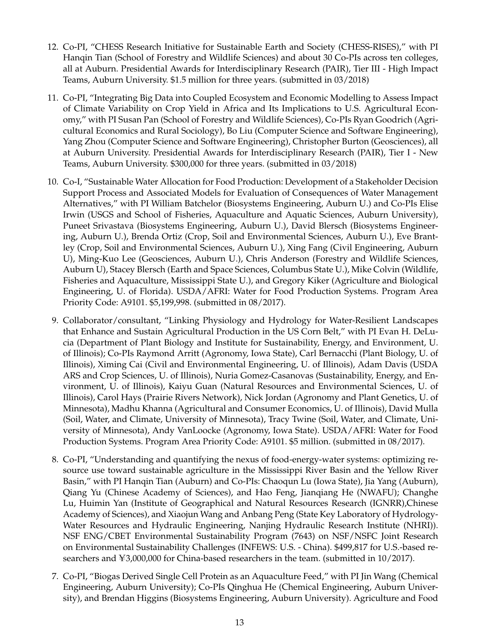- 12. Co-PI, "CHESS Research Initiative for Sustainable Earth and Society (CHESS-RISES)," with PI Hanqin Tian (School of Forestry and Wildlife Sciences) and about 30 Co-PIs across ten colleges, all at Auburn. Presidential Awards for Interdisciplinary Research (PAIR), Tier III - High Impact Teams, Auburn University. \$1.5 million for three years. (submitted in 03/2018)
- 11. Co-PI, "Integrating Big Data into Coupled Ecosystem and Economic Modelling to Assess Impact of Climate Variability on Crop Yield in Africa and Its Implications to U.S. Agricultural Economy," with PI Susan Pan (School of Forestry and Wildlife Sciences), Co-PIs Ryan Goodrich (Agricultural Economics and Rural Sociology), Bo Liu (Computer Science and Software Engineering), Yang Zhou (Computer Science and Software Engineering), Christopher Burton (Geosciences), all at Auburn University. Presidential Awards for Interdisciplinary Research (PAIR), Tier I - New Teams, Auburn University. \$300,000 for three years. (submitted in 03/2018)
- 10. Co-I, "Sustainable Water Allocation for Food Production: Development of a Stakeholder Decision Support Process and Associated Models for Evaluation of Consequences of Water Management Alternatives," with PI William Batchelor (Biosystems Engineering, Auburn U.) and Co-PIs Elise Irwin (USGS and School of Fisheries, Aquaculture and Aquatic Sciences, Auburn University), Puneet Srivastava (Biosystems Engineering, Auburn U.), David Blersch (Biosystems Engineering, Auburn U.), Brenda Ortiz (Crop, Soil and Environmental Sciences, Auburn U.), Eve Brantley (Crop, Soil and Environmental Sciences, Auburn U.), Xing Fang (Civil Engineering, Auburn U), Ming-Kuo Lee (Geosciences, Auburn U.), Chris Anderson (Forestry and Wildlife Sciences, Auburn U), Stacey Blersch (Earth and Space Sciences, Columbus State U.), Mike Colvin (Wildlife, Fisheries and Aquaculture, Mississippi State U.), and Gregory Kiker (Agriculture and Biological Engineering, U. of Florida). USDA/AFRI: Water for Food Production Systems. Program Area Priority Code: A9101. \$5,199,998. (submitted in 08/2017).
- 9. Collaborator/consultant, "Linking Physiology and Hydrology for Water-Resilient Landscapes that Enhance and Sustain Agricultural Production in the US Corn Belt," with PI Evan H. DeLucia (Department of Plant Biology and Institute for Sustainability, Energy, and Environment, U. of Illinois); Co-PIs Raymond Arritt (Agronomy, Iowa State), Carl Bernacchi (Plant Biology, U. of Illinois), Ximing Cai (Civil and Environmental Engineering, U. of Illinois), Adam Davis (USDA ARS and Crop Sciences, U. of Illinois), Nuria Gomez-Casanovas (Sustainability, Energy, and Environment, U. of Illinois), Kaiyu Guan (Natural Resources and Environmental Sciences, U. of Illinois), Carol Hays (Prairie Rivers Network), Nick Jordan (Agronomy and Plant Genetics, U. of Minnesota), Madhu Khanna (Agricultural and Consumer Economics, U. of Illinois), David Mulla (Soil, Water, and Climate, University of Minnesota), Tracy Twine (Soil, Water, and Climate, University of Minnesota), Andy VanLoocke (Agronomy, Iowa State). USDA/AFRI: Water for Food Production Systems. Program Area Priority Code: A9101. \$5 million. (submitted in 08/2017).
- 8. Co-PI, "Understanding and quantifying the nexus of food-energy-water systems: optimizing resource use toward sustainable agriculture in the Mississippi River Basin and the Yellow River Basin," with PI Hanqin Tian (Auburn) and Co-PIs: Chaoqun Lu (Iowa State), Jia Yang (Auburn), Qiang Yu (Chinese Academy of Sciences), and Hao Feng, Jianqiang He (NWAFU); Changhe Lu, Huimin Yan (Institute of Geographical and Natural Resources Research (IGNRR),Chinese Academy of Sciences), and Xiaojun Wang and Anbang Peng (State Key Laboratory of Hydrology-Water Resources and Hydraulic Engineering, Nanjing Hydraulic Research Institute (NHRI)). NSF ENG/CBET Environmental Sustainability Program (7643) on NSF/NSFC Joint Research on Environmental Sustainability Challenges (INFEWS: U.S. - China). \$499,817 for U.S.-based researchers and  $\text{\textless}3,000,000$  for China-based researchers in the team. (submitted in 10/2017).
- 7. Co-PI, "Biogas Derived Single Cell Protein as an Aquaculture Feed," with PI Jin Wang (Chemical Engineering, Auburn University); Co-PIs Qinghua He (Chemical Engineering, Auburn University), and Brendan Higgins (Biosystems Engineering, Auburn University). Agriculture and Food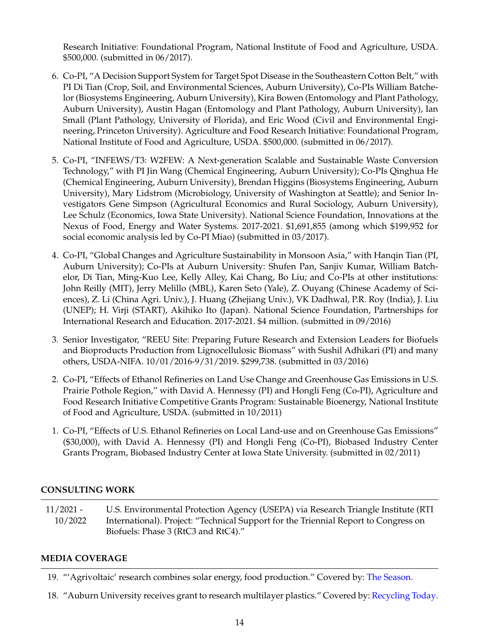Research Initiative: Foundational Program, National Institute of Food and Agriculture, USDA. \$500,000. (submitted in 06/2017).

- 6. Co-PI, "A Decision Support System for Target Spot Disease in the Southeastern Cotton Belt," with PI Di Tian (Crop, Soil, and Environmental Sciences, Auburn University), Co-PIs William Batchelor (Biosystems Engineering, Auburn University), Kira Bowen (Entomology and Plant Pathology, Auburn University), Austin Hagan (Entomology and Plant Pathology, Auburn University), Ian Small (Plant Pathology, University of Florida), and Eric Wood (Civil and Environmental Engineering, Princeton University). Agriculture and Food Research Initiative: Foundational Program, National Institute of Food and Agriculture, USDA. \$500,000. (submitted in 06/2017).
- 5. Co-PI, "INFEWS/T3: W2FEW: A Next-generation Scalable and Sustainable Waste Conversion Technology," with PI Jin Wang (Chemical Engineering, Auburn University); Co-PIs Qinghua He (Chemical Engineering, Auburn University), Brendan Higgins (Biosystems Engineering, Auburn University), Mary Lidstrom (Microbiology, University of Washington at Seattle); and Senior Investigators Gene Simpson (Agricultural Economics and Rural Sociology, Auburn University), Lee Schulz (Economics, Iowa State University). National Science Foundation, Innovations at the Nexus of Food, Energy and Water Systems. 2017-2021. \$1,691,855 (among which \$199,952 for social economic analysis led by Co-PI Miao) (submitted in 03/2017).
- 4. Co-PI, "Global Changes and Agriculture Sustainability in Monsoon Asia," with Hanqin Tian (PI, Auburn University); Co-PIs at Auburn University: Shufen Pan, Sanjiv Kumar, William Batchelor, Di Tian, Ming-Kuo Lee, Kelly Alley, Kai Chang, Bo Liu; and Co-PIs at other institutions: John Reilly (MIT), Jerry Melillo (MBL), Karen Seto (Yale), Z. Ouyang (Chinese Academy of Sciences), Z. Li (China Agri. Univ.), J. Huang (Zhejiang Univ.), VK Dadhwal, P.R. Roy (India), J. Liu (UNEP); H. Virji (START), Akihiko Ito (Japan). National Science Foundation, Partnerships for International Research and Education. 2017-2021. \$4 million. (submitted in 09/2016)
- 3. Senior Investigator, "REEU Site: Preparing Future Research and Extension Leaders for Biofuels and Bioproducts Production from Lignocellulosic Biomass" with Sushil Adhikari (PI) and many others, USDA-NIFA. 10/01/2016-9/31/2019. \$299,738. (submitted in 03/2016)
- 2. Co-PI, "Effects of Ethanol Refineries on Land Use Change and Greenhouse Gas Emissions in U.S. Prairie Pothole Region," with David A. Hennessy (PI) and Hongli Feng (Co-PI), Agriculture and Food Research Initiative Competitive Grants Program: Sustainable Bioenergy, National Institute of Food and Agriculture, USDA. (submitted in 10/2011)
- 1. Co-PI, "Effects of U.S. Ethanol Refineries on Local Land-use and on Greenhouse Gas Emissions" (\$30,000), with David A. Hennessy (PI) and Hongli Feng (Co-PI), Biobased Industry Center Grants Program, Biobased Industry Center at Iowa State University. (submitted in 02/2011)

# **CONSULTING WORK**

11/2021 - 10/2022 U.S. Environmental Protection Agency (USEPA) via Research Triangle Institute (RTI International). Project: "Technical Support for the Triennial Report to Congress on Biofuels: Phase 3 (RtC3 and RtC4)."

# **MEDIA COVERAGE**

19. "'Agrivoltaic' research combines solar energy, food production." Covered by: [The Season.](https://agriculture.auburn.edu/feature/agrivoltaic-research-combines-solar-energy-food-production/)

18. "Auburn University receives grant to research multilayer plastics." Covered by: [Recycling Today.](https://www.recyclingtoday.com/article/auburn-university-receives-grant-for-multilayer-plastics/)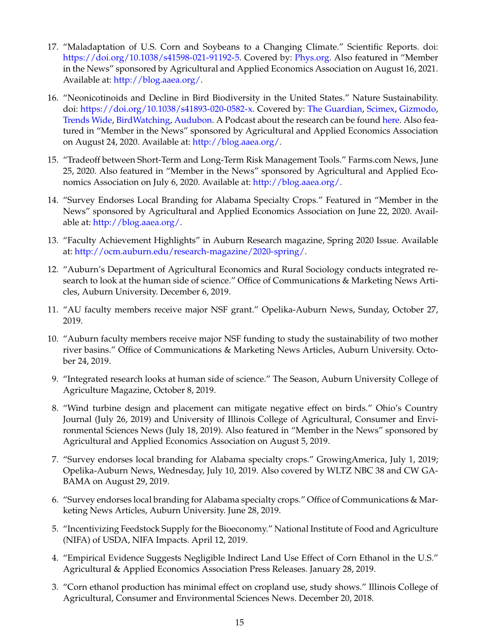- 17. "Maladaptation of U.S. Corn and Soybeans to a Changing Climate." Scientific Reports. doi: [https://doi.org/10.1038/s41598-021-91192-5.](https://doi.org/10.1038/s41598-021-91192-5) Covered by: [Phys.org.](https://phys.org/news/2021-07-corn-soybean-maladapted-climate-variations.html) Also featured in "Member in the News" sponsored by Agricultural and Applied Economics Association on August 16, 2021. Available at: [http://blog.aaea.org/.](http://blog.aaea.org/)
- 16. "Neonicotinoids and Decline in Bird Biodiversity in the United States." Nature Sustainability. doi: [https://doi.org/10.1038/s41893-020-0582-x.](https://doi.org/10.1038/s41893-020-0582-x) Covered by: [The Guardian,](https://www.theguardian.com/environment/2020/aug/10/pesticides-us-birds-species-biodiversity-study) [Scimex,](https://www.scimex.org/newsfeed/neonicotinoid-pesticides-harm-birds-in-usa) [Gizmodo,](https://earther.gizmodo.com/popular-pesticides-are-killing-birds-too-1844673035) [Trends Wide,](https://trendswide.com/alarm-as-pesticides-spur-rapid-decline-of-us-bird-species-environment/) [BirdWatching,](https://www.birdwatchingdaily.com/news/science/grassland-bird-decline-neonicotinoids/) [Audubon.](https://www.audubon.org/magazine/summer-2021/lax-pesticide-policies-are-putting-wildlife) A Podcast about the research can be found [here.](https://soundcloud.com/user-451767727-776956376/01-ceos-podcast-birds-and-neonic-pesticides) Also featured in "Member in the News" sponsored by Agricultural and Applied Economics Association on August 24, 2020. Available at: [http://blog.aaea.org/.](http://blog.aaea.org/)
- 15. "Tradeoff between Short-Term and Long-Term Risk Management Tools." Farms.com News, June 25, 2020. Also featured in "Member in the News" sponsored by Agricultural and Applied Economics Association on July 6, 2020. Available at: [http://blog.aaea.org/.](http://blog.aaea.org/)
- 14. "Survey Endorses Local Branding for Alabama Specialty Crops." Featured in "Member in the News" sponsored by Agricultural and Applied Economics Association on June 22, 2020. Available at: [http://blog.aaea.org/.](http://blog.aaea.org/)
- 13. "Faculty Achievement Highlights" in Auburn Research magazine, Spring 2020 Issue. Available at: [http://ocm.auburn.edu/research-magazine/2020-spring/.](http://ocm.auburn.edu/research-magazine/2020-spring/)
- 12. "Auburn's Department of Agricultural Economics and Rural Sociology conducts integrated research to look at the human side of science." Office of Communications & Marketing News Articles, Auburn University. December 6, 2019.
- 11. "AU faculty members receive major NSF grant." Opelika-Auburn News, Sunday, October 27, 2019.
- 10. "Auburn faculty members receive major NSF funding to study the sustainability of two mother river basins." Office of Communications & Marketing News Articles, Auburn University. October 24, 2019.
- 9. "Integrated research looks at human side of science." The Season, Auburn University College of Agriculture Magazine, October 8, 2019.
- 8. "Wind turbine design and placement can mitigate negative effect on birds." Ohio's Country Journal (July 26, 2019) and University of Illinois College of Agricultural, Consumer and Environmental Sciences News (July 18, 2019). Also featured in "Member in the News" sponsored by Agricultural and Applied Economics Association on August 5, 2019.
- 7. "Survey endorses local branding for Alabama specialty crops." GrowingAmerica, July 1, 2019; Opelika-Auburn News, Wednesday, July 10, 2019. Also covered by WLTZ NBC 38 and CW GA-BAMA on August 29, 2019.
- 6. "Survey endorses local branding for Alabama specialty crops." Office of Communications & Marketing News Articles, Auburn University. June 28, 2019.
- 5. "Incentivizing Feedstock Supply for the Bioeconomy." National Institute of Food and Agriculture (NIFA) of USDA, NIFA Impacts. April 12, 2019.
- 4. "Empirical Evidence Suggests Negligible Indirect Land Use Effect of Corn Ethanol in the U.S." Agricultural & Applied Economics Association Press Releases. January 28, 2019.
- 3. "Corn ethanol production has minimal effect on cropland use, study shows." Illinois College of Agricultural, Consumer and Environmental Sciences News. December 20, 2018.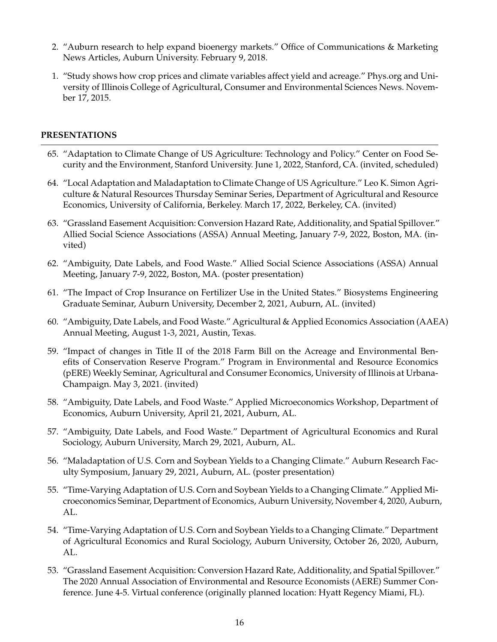- 2. "Auburn research to help expand bioenergy markets." Office of Communications & Marketing News Articles, Auburn University. February 9, 2018.
- 1. "Study shows how crop prices and climate variables affect yield and acreage." Phys.org and University of Illinois College of Agricultural, Consumer and Environmental Sciences News. November 17, 2015.

## **PRESENTATIONS**

- 65. "Adaptation to Climate Change of US Agriculture: Technology and Policy." Center on Food Security and the Environment, Stanford University. June 1, 2022, Stanford, CA. (invited, scheduled)
- 64. "Local Adaptation and Maladaptation to Climate Change of US Agriculture." Leo K. Simon Agriculture & Natural Resources Thursday Seminar Series, Department of Agricultural and Resource Economics, University of California, Berkeley. March 17, 2022, Berkeley, CA. (invited)
- 63. "Grassland Easement Acquisition: Conversion Hazard Rate, Additionality, and Spatial Spillover." Allied Social Science Associations (ASSA) Annual Meeting, January 7-9, 2022, Boston, MA. (invited)
- 62. "Ambiguity, Date Labels, and Food Waste." Allied Social Science Associations (ASSA) Annual Meeting, January 7-9, 2022, Boston, MA. (poster presentation)
- 61. "The Impact of Crop Insurance on Fertilizer Use in the United States." Biosystems Engineering Graduate Seminar, Auburn University, December 2, 2021, Auburn, AL. (invited)
- 60. "Ambiguity, Date Labels, and Food Waste." Agricultural & Applied Economics Association (AAEA) Annual Meeting, August 1-3, 2021, Austin, Texas.
- 59. "Impact of changes in Title II of the 2018 Farm Bill on the Acreage and Environmental Benefits of Conservation Reserve Program." Program in Environmental and Resource Economics (pERE) Weekly Seminar, Agricultural and Consumer Economics, University of Illinois at Urbana-Champaign. May 3, 2021. (invited)
- 58. "Ambiguity, Date Labels, and Food Waste." Applied Microeconomics Workshop, Department of Economics, Auburn University, April 21, 2021, Auburn, AL.
- 57. "Ambiguity, Date Labels, and Food Waste." Department of Agricultural Economics and Rural Sociology, Auburn University, March 29, 2021, Auburn, AL.
- 56. "Maladaptation of U.S. Corn and Soybean Yields to a Changing Climate." Auburn Research Faculty Symposium, January 29, 2021, Auburn, AL. (poster presentation)
- 55. "Time-Varying Adaptation of U.S. Corn and Soybean Yields to a Changing Climate." Applied Microeconomics Seminar, Department of Economics, Auburn University, November 4, 2020, Auburn, AL.
- 54. "Time-Varying Adaptation of U.S. Corn and Soybean Yields to a Changing Climate." Department of Agricultural Economics and Rural Sociology, Auburn University, October 26, 2020, Auburn, AL.
- 53. "Grassland Easement Acquisition: Conversion Hazard Rate, Additionality, and Spatial Spillover." The 2020 Annual Association of Environmental and Resource Economists (AERE) Summer Conference. June 4-5. Virtual conference (originally planned location: Hyatt Regency Miami, FL).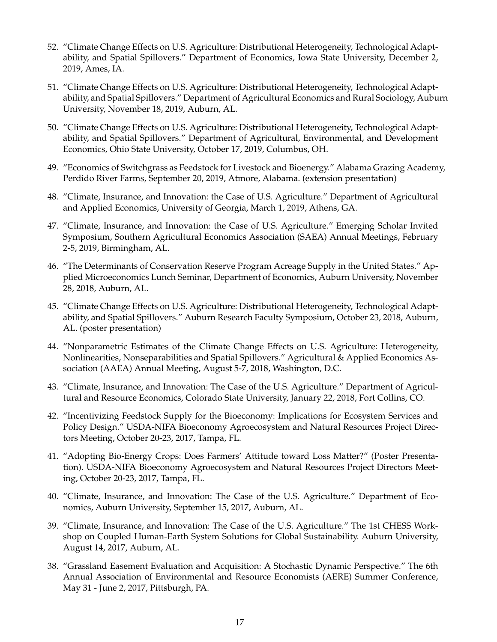- 52. "Climate Change Effects on U.S. Agriculture: Distributional Heterogeneity, Technological Adaptability, and Spatial Spillovers." Department of Economics, Iowa State University, December 2, 2019, Ames, IA.
- 51. "Climate Change Effects on U.S. Agriculture: Distributional Heterogeneity, Technological Adaptability, and Spatial Spillovers." Department of Agricultural Economics and Rural Sociology, Auburn University, November 18, 2019, Auburn, AL.
- 50. "Climate Change Effects on U.S. Agriculture: Distributional Heterogeneity, Technological Adaptability, and Spatial Spillovers." Department of Agricultural, Environmental, and Development Economics, Ohio State University, October 17, 2019, Columbus, OH.
- 49. "Economics of Switchgrass as Feedstock for Livestock and Bioenergy." Alabama Grazing Academy, Perdido River Farms, September 20, 2019, Atmore, Alabama. (extension presentation)
- 48. "Climate, Insurance, and Innovation: the Case of U.S. Agriculture." Department of Agricultural and Applied Economics, University of Georgia, March 1, 2019, Athens, GA.
- 47. "Climate, Insurance, and Innovation: the Case of U.S. Agriculture." Emerging Scholar Invited Symposium, Southern Agricultural Economics Association (SAEA) Annual Meetings, February 2-5, 2019, Birmingham, AL.
- 46. "The Determinants of Conservation Reserve Program Acreage Supply in the United States." Applied Microeconomics Lunch Seminar, Department of Economics, Auburn University, November 28, 2018, Auburn, AL.
- 45. "Climate Change Effects on U.S. Agriculture: Distributional Heterogeneity, Technological Adaptability, and Spatial Spillovers." Auburn Research Faculty Symposium, October 23, 2018, Auburn, AL. (poster presentation)
- 44. "Nonparametric Estimates of the Climate Change Effects on U.S. Agriculture: Heterogeneity, Nonlinearities, Nonseparabilities and Spatial Spillovers." Agricultural & Applied Economics Association (AAEA) Annual Meeting, August 5-7, 2018, Washington, D.C.
- 43. "Climate, Insurance, and Innovation: The Case of the U.S. Agriculture." Department of Agricultural and Resource Economics, Colorado State University, January 22, 2018, Fort Collins, CO.
- 42. "Incentivizing Feedstock Supply for the Bioeconomy: Implications for Ecosystem Services and Policy Design." USDA-NIFA Bioeconomy Agroecosystem and Natural Resources Project Directors Meeting, October 20-23, 2017, Tampa, FL.
- 41. "Adopting Bio-Energy Crops: Does Farmers' Attitude toward Loss Matter?" (Poster Presentation). USDA-NIFA Bioeconomy Agroecosystem and Natural Resources Project Directors Meeting, October 20-23, 2017, Tampa, FL.
- 40. "Climate, Insurance, and Innovation: The Case of the U.S. Agriculture." Department of Economics, Auburn University, September 15, 2017, Auburn, AL.
- 39. "Climate, Insurance, and Innovation: The Case of the U.S. Agriculture." The 1st CHESS Workshop on Coupled Human-Earth System Solutions for Global Sustainability. Auburn University, August 14, 2017, Auburn, AL.
- 38. "Grassland Easement Evaluation and Acquisition: A Stochastic Dynamic Perspective." The 6th Annual Association of Environmental and Resource Economists (AERE) Summer Conference, May 31 - June 2, 2017, Pittsburgh, PA.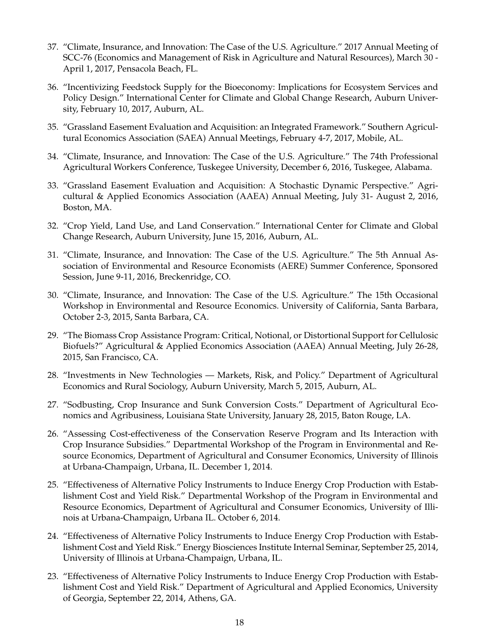- 37. "Climate, Insurance, and Innovation: The Case of the U.S. Agriculture." 2017 Annual Meeting of SCC-76 (Economics and Management of Risk in Agriculture and Natural Resources), March 30 - April 1, 2017, Pensacola Beach, FL.
- 36. "Incentivizing Feedstock Supply for the Bioeconomy: Implications for Ecosystem Services and Policy Design." International Center for Climate and Global Change Research, Auburn University, February 10, 2017, Auburn, AL.
- 35. "Grassland Easement Evaluation and Acquisition: an Integrated Framework." Southern Agricultural Economics Association (SAEA) Annual Meetings, February 4-7, 2017, Mobile, AL.
- 34. "Climate, Insurance, and Innovation: The Case of the U.S. Agriculture." The 74th Professional Agricultural Workers Conference, Tuskegee University, December 6, 2016, Tuskegee, Alabama.
- 33. "Grassland Easement Evaluation and Acquisition: A Stochastic Dynamic Perspective." Agricultural & Applied Economics Association (AAEA) Annual Meeting, July 31- August 2, 2016, Boston, MA.
- 32. "Crop Yield, Land Use, and Land Conservation." International Center for Climate and Global Change Research, Auburn University, June 15, 2016, Auburn, AL.
- 31. "Climate, Insurance, and Innovation: The Case of the U.S. Agriculture." The 5th Annual Association of Environmental and Resource Economists (AERE) Summer Conference, Sponsored Session, June 9-11, 2016, Breckenridge, CO.
- 30. "Climate, Insurance, and Innovation: The Case of the U.S. Agriculture." The 15th Occasional Workshop in Environmental and Resource Economics. University of California, Santa Barbara, October 2-3, 2015, Santa Barbara, CA.
- 29. "The Biomass Crop Assistance Program: Critical, Notional, or Distortional Support for Cellulosic Biofuels?" Agricultural & Applied Economics Association (AAEA) Annual Meeting, July 26-28, 2015, San Francisco, CA.
- 28. "Investments in New Technologies Markets, Risk, and Policy." Department of Agricultural Economics and Rural Sociology, Auburn University, March 5, 2015, Auburn, AL.
- 27. "Sodbusting, Crop Insurance and Sunk Conversion Costs." Department of Agricultural Economics and Agribusiness, Louisiana State University, January 28, 2015, Baton Rouge, LA.
- 26. "Assessing Cost-effectiveness of the Conservation Reserve Program and Its Interaction with Crop Insurance Subsidies." Departmental Workshop of the Program in Environmental and Resource Economics, Department of Agricultural and Consumer Economics, University of Illinois at Urbana-Champaign, Urbana, IL. December 1, 2014.
- 25. "Effectiveness of Alternative Policy Instruments to Induce Energy Crop Production with Establishment Cost and Yield Risk." Departmental Workshop of the Program in Environmental and Resource Economics, Department of Agricultural and Consumer Economics, University of Illinois at Urbana-Champaign, Urbana IL. October 6, 2014.
- 24. "Effectiveness of Alternative Policy Instruments to Induce Energy Crop Production with Establishment Cost and Yield Risk." Energy Biosciences Institute Internal Seminar, September 25, 2014, University of Illinois at Urbana-Champaign, Urbana, IL.
- 23. "Effectiveness of Alternative Policy Instruments to Induce Energy Crop Production with Establishment Cost and Yield Risk." Department of Agricultural and Applied Economics, University of Georgia, September 22, 2014, Athens, GA.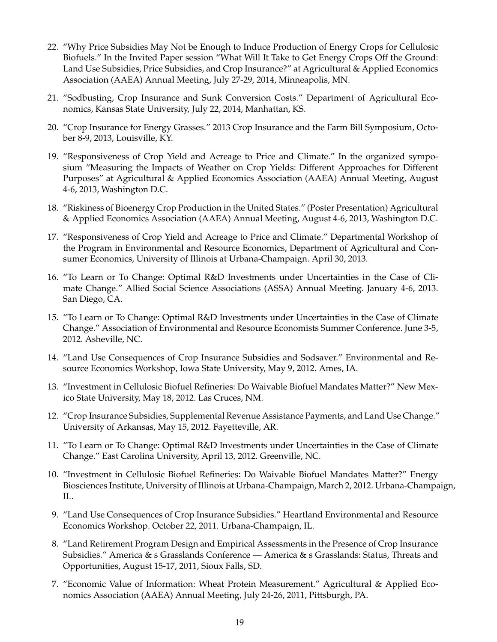- 22. "Why Price Subsidies May Not be Enough to Induce Production of Energy Crops for Cellulosic Biofuels." In the Invited Paper session "What Will It Take to Get Energy Crops Off the Ground: Land Use Subsidies, Price Subsidies, and Crop Insurance?" at Agricultural & Applied Economics Association (AAEA) Annual Meeting, July 27-29, 2014, Minneapolis, MN.
- 21. "Sodbusting, Crop Insurance and Sunk Conversion Costs." Department of Agricultural Economics, Kansas State University, July 22, 2014, Manhattan, KS.
- 20. "Crop Insurance for Energy Grasses." 2013 Crop Insurance and the Farm Bill Symposium, October 8-9, 2013, Louisville, KY.
- 19. "Responsiveness of Crop Yield and Acreage to Price and Climate." In the organized symposium "Measuring the Impacts of Weather on Crop Yields: Different Approaches for Different Purposes" at Agricultural & Applied Economics Association (AAEA) Annual Meeting, August 4-6, 2013, Washington D.C.
- 18. "Riskiness of Bioenergy Crop Production in the United States." (Poster Presentation) Agricultural & Applied Economics Association (AAEA) Annual Meeting, August 4-6, 2013, Washington D.C.
- 17. "Responsiveness of Crop Yield and Acreage to Price and Climate." Departmental Workshop of the Program in Environmental and Resource Economics, Department of Agricultural and Consumer Economics, University of Illinois at Urbana-Champaign. April 30, 2013.
- 16. "To Learn or To Change: Optimal R&D Investments under Uncertainties in the Case of Climate Change." Allied Social Science Associations (ASSA) Annual Meeting. January 4-6, 2013. San Diego, CA.
- 15. "To Learn or To Change: Optimal R&D Investments under Uncertainties in the Case of Climate Change." Association of Environmental and Resource Economists Summer Conference. June 3-5, 2012. Asheville, NC.
- 14. "Land Use Consequences of Crop Insurance Subsidies and Sodsaver." Environmental and Resource Economics Workshop, Iowa State University, May 9, 2012. Ames, IA.
- 13. "Investment in Cellulosic Biofuel Refineries: Do Waivable Biofuel Mandates Matter?" New Mexico State University, May 18, 2012. Las Cruces, NM.
- 12. "Crop Insurance Subsidies, Supplemental Revenue Assistance Payments, and Land Use Change." University of Arkansas, May 15, 2012. Fayetteville, AR.
- 11. "To Learn or To Change: Optimal R&D Investments under Uncertainties in the Case of Climate Change." East Carolina University, April 13, 2012. Greenville, NC.
- 10. "Investment in Cellulosic Biofuel Refineries: Do Waivable Biofuel Mandates Matter?" Energy Biosciences Institute, University of Illinois at Urbana-Champaign, March 2, 2012. Urbana-Champaign, IL.
- 9. "Land Use Consequences of Crop Insurance Subsidies." Heartland Environmental and Resource Economics Workshop. October 22, 2011. Urbana-Champaign, IL.
- 8. "Land Retirement Program Design and Empirical Assessments in the Presence of Crop Insurance Subsidies." America & s Grasslands Conference — America & s Grasslands: Status, Threats and Opportunities, August 15-17, 2011, Sioux Falls, SD.
- 7. "Economic Value of Information: Wheat Protein Measurement." Agricultural & Applied Economics Association (AAEA) Annual Meeting, July 24-26, 2011, Pittsburgh, PA.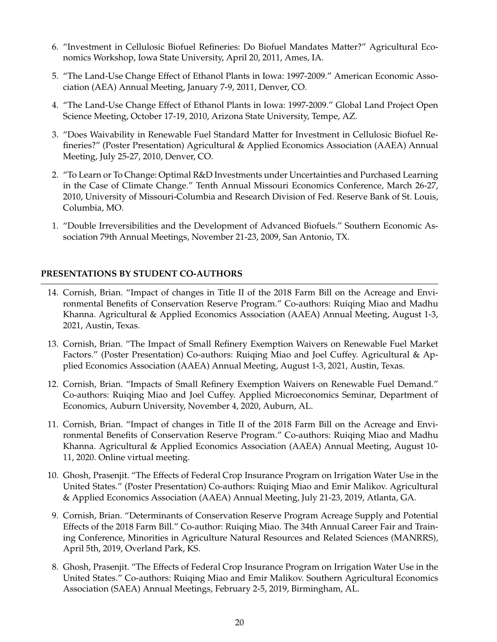- 6. "Investment in Cellulosic Biofuel Refineries: Do Biofuel Mandates Matter?" Agricultural Economics Workshop, Iowa State University, April 20, 2011, Ames, IA.
- 5. "The Land-Use Change Effect of Ethanol Plants in Iowa: 1997-2009." American Economic Association (AEA) Annual Meeting, January 7-9, 2011, Denver, CO.
- 4. "The Land-Use Change Effect of Ethanol Plants in Iowa: 1997-2009." Global Land Project Open Science Meeting, October 17-19, 2010, Arizona State University, Tempe, AZ.
- 3. "Does Waivability in Renewable Fuel Standard Matter for Investment in Cellulosic Biofuel Refineries?" (Poster Presentation) Agricultural & Applied Economics Association (AAEA) Annual Meeting, July 25-27, 2010, Denver, CO.
- 2. "To Learn or To Change: Optimal R&D Investments under Uncertainties and Purchased Learning in the Case of Climate Change." Tenth Annual Missouri Economics Conference, March 26-27, 2010, University of Missouri-Columbia and Research Division of Fed. Reserve Bank of St. Louis, Columbia, MO.
- 1. "Double Irreversibilities and the Development of Advanced Biofuels." Southern Economic Association 79th Annual Meetings, November 21-23, 2009, San Antonio, TX.

# **PRESENTATIONS BY STUDENT CO-AUTHORS**

- 14. Cornish, Brian. "Impact of changes in Title II of the 2018 Farm Bill on the Acreage and Environmental Benefits of Conservation Reserve Program." Co-authors: Ruiqing Miao and Madhu Khanna. Agricultural & Applied Economics Association (AAEA) Annual Meeting, August 1-3, 2021, Austin, Texas.
- 13. Cornish, Brian. "The Impact of Small Refinery Exemption Waivers on Renewable Fuel Market Factors." (Poster Presentation) Co-authors: Ruiqing Miao and Joel Cuffey. Agricultural & Applied Economics Association (AAEA) Annual Meeting, August 1-3, 2021, Austin, Texas.
- 12. Cornish, Brian. "Impacts of Small Refinery Exemption Waivers on Renewable Fuel Demand." Co-authors: Ruiqing Miao and Joel Cuffey. Applied Microeconomics Seminar, Department of Economics, Auburn University, November 4, 2020, Auburn, AL.
- 11. Cornish, Brian. "Impact of changes in Title II of the 2018 Farm Bill on the Acreage and Environmental Benefits of Conservation Reserve Program." Co-authors: Ruiqing Miao and Madhu Khanna. Agricultural & Applied Economics Association (AAEA) Annual Meeting, August 10- 11, 2020. Online virtual meeting.
- 10. Ghosh, Prasenjit. "The Effects of Federal Crop Insurance Program on Irrigation Water Use in the United States." (Poster Presentation) Co-authors: Ruiqing Miao and Emir Malikov. Agricultural & Applied Economics Association (AAEA) Annual Meeting, July 21-23, 2019, Atlanta, GA.
- 9. Cornish, Brian. "Determinants of Conservation Reserve Program Acreage Supply and Potential Effects of the 2018 Farm Bill." Co-author: Ruiqing Miao. The 34th Annual Career Fair and Training Conference, Minorities in Agriculture Natural Resources and Related Sciences (MANRRS), April 5th, 2019, Overland Park, KS.
- 8. Ghosh, Prasenjit. "The Effects of Federal Crop Insurance Program on Irrigation Water Use in the United States." Co-authors: Ruiqing Miao and Emir Malikov. Southern Agricultural Economics Association (SAEA) Annual Meetings, February 2-5, 2019, Birmingham, AL.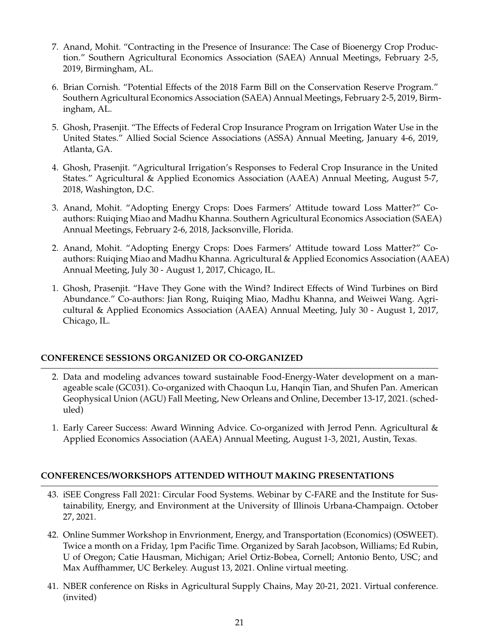- 7. Anand, Mohit. "Contracting in the Presence of Insurance: The Case of Bioenergy Crop Production." Southern Agricultural Economics Association (SAEA) Annual Meetings, February 2-5, 2019, Birmingham, AL.
- 6. Brian Cornish. "Potential Effects of the 2018 Farm Bill on the Conservation Reserve Program." Southern Agricultural Economics Association (SAEA) Annual Meetings, February 2-5, 2019, Birmingham, AL.
- 5. Ghosh, Prasenjit. "The Effects of Federal Crop Insurance Program on Irrigation Water Use in the United States." Allied Social Science Associations (ASSA) Annual Meeting, January 4-6, 2019, Atlanta, GA.
- 4. Ghosh, Prasenjit. "Agricultural Irrigation's Responses to Federal Crop Insurance in the United States." Agricultural & Applied Economics Association (AAEA) Annual Meeting, August 5-7, 2018, Washington, D.C.
- 3. Anand, Mohit. "Adopting Energy Crops: Does Farmers' Attitude toward Loss Matter?" Coauthors: Ruiqing Miao and Madhu Khanna. Southern Agricultural Economics Association (SAEA) Annual Meetings, February 2-6, 2018, Jacksonville, Florida.
- 2. Anand, Mohit. "Adopting Energy Crops: Does Farmers' Attitude toward Loss Matter?" Coauthors: Ruiqing Miao and Madhu Khanna. Agricultural & Applied Economics Association (AAEA) Annual Meeting, July 30 - August 1, 2017, Chicago, IL.
- 1. Ghosh, Prasenjit. "Have They Gone with the Wind? Indirect Effects of Wind Turbines on Bird Abundance." Co-authors: Jian Rong, Ruiqing Miao, Madhu Khanna, and Weiwei Wang. Agricultural & Applied Economics Association (AAEA) Annual Meeting, July 30 - August 1, 2017, Chicago, IL.

# **CONFERENCE SESSIONS ORGANIZED OR CO-ORGANIZED**

- 2. Data and modeling advances toward sustainable Food-Energy-Water development on a manageable scale (GC031). Co-organized with Chaoqun Lu, Hanqin Tian, and Shufen Pan. American Geophysical Union (AGU) Fall Meeting, New Orleans and Online, December 13-17, 2021. (scheduled)
- 1. Early Career Success: Award Winning Advice. Co-organized with Jerrod Penn. Agricultural & Applied Economics Association (AAEA) Annual Meeting, August 1-3, 2021, Austin, Texas.

# **CONFERENCES/WORKSHOPS ATTENDED WITHOUT MAKING PRESENTATIONS**

- 43. iSEE Congress Fall 2021: Circular Food Systems. Webinar by C-FARE and the Institute for Sustainability, Energy, and Environment at the University of Illinois Urbana-Champaign. October 27, 2021.
- 42. Online Summer Workshop in Envrionment, Energy, and Transportation (Economics) (OSWEET). Twice a month on a Friday, 1pm Pacific Time. Organized by Sarah Jacobson, Williams; Ed Rubin, U of Oregon; Catie Hausman, Michigan; Ariel Ortiz-Bobea, Cornell; Antonio Bento, USC; and Max Auffhammer, UC Berkeley. August 13, 2021. Online virtual meeting.
- 41. NBER conference on Risks in Agricultural Supply Chains, May 20-21, 2021. Virtual conference. (invited)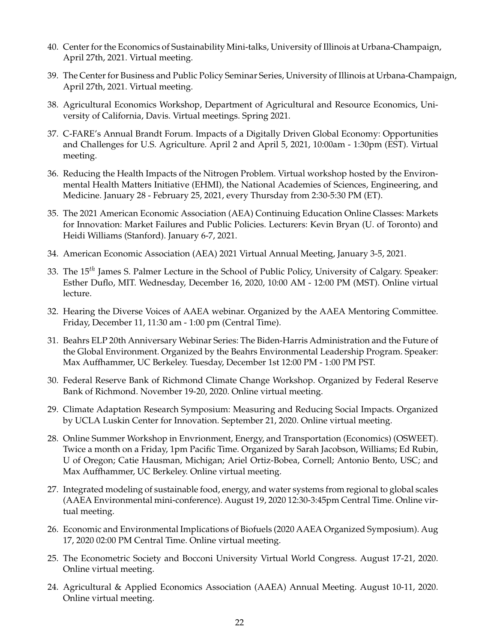- 40. Center for the Economics of Sustainability Mini-talks, University of Illinois at Urbana-Champaign, April 27th, 2021. Virtual meeting.
- 39. The Center for Business and Public Policy Seminar Series, University of Illinois at Urbana-Champaign, April 27th, 2021. Virtual meeting.
- 38. Agricultural Economics Workshop, Department of Agricultural and Resource Economics, University of California, Davis. Virtual meetings. Spring 2021.
- 37. C-FARE's Annual Brandt Forum. Impacts of a Digitally Driven Global Economy: Opportunities and Challenges for U.S. Agriculture. April 2 and April 5, 2021, 10:00am - 1:30pm (EST). Virtual meeting.
- 36. Reducing the Health Impacts of the Nitrogen Problem. Virtual workshop hosted by the Environmental Health Matters Initiative (EHMI), the National Academies of Sciences, Engineering, and Medicine. January 28 - February 25, 2021, every Thursday from 2:30-5:30 PM (ET).
- 35. The 2021 American Economic Association (AEA) Continuing Education Online Classes: Markets for Innovation: Market Failures and Public Policies. Lecturers: Kevin Bryan (U. of Toronto) and Heidi Williams (Stanford). January 6-7, 2021.
- 34. American Economic Association (AEA) 2021 Virtual Annual Meeting, January 3-5, 2021.
- 33. The 15*th* James S. Palmer Lecture in the School of Public Policy, University of Calgary. Speaker: Esther Duflo, MIT. Wednesday, December 16, 2020, 10:00 AM - 12:00 PM (MST). Online virtual lecture.
- 32. Hearing the Diverse Voices of AAEA webinar. Organized by the AAEA Mentoring Committee. Friday, December 11, 11:30 am - 1:00 pm (Central Time).
- 31. Beahrs ELP 20th Anniversary Webinar Series: The Biden-Harris Administration and the Future of the Global Environment. Organized by the Beahrs Environmental Leadership Program. Speaker: Max Auffhammer, UC Berkeley. Tuesday, December 1st 12:00 PM - 1:00 PM PST.
- 30. Federal Reserve Bank of Richmond Climate Change Workshop. Organized by Federal Reserve Bank of Richmond. November 19-20, 2020. Online virtual meeting.
- 29. Climate Adaptation Research Symposium: Measuring and Reducing Social Impacts. Organized by UCLA Luskin Center for Innovation. September 21, 2020. Online virtual meeting.
- 28. Online Summer Workshop in Envrionment, Energy, and Transportation (Economics) (OSWEET). Twice a month on a Friday, 1pm Pacific Time. Organized by Sarah Jacobson, Williams; Ed Rubin, U of Oregon; Catie Hausman, Michigan; Ariel Ortiz-Bobea, Cornell; Antonio Bento, USC; and Max Auffhammer, UC Berkeley. Online virtual meeting.
- 27. Integrated modeling of sustainable food, energy, and water systems from regional to global scales (AAEA Environmental mini-conference). August 19, 2020 12:30-3:45pm Central Time. Online virtual meeting.
- 26. Economic and Environmental Implications of Biofuels (2020 AAEA Organized Symposium). Aug 17, 2020 02:00 PM Central Time. Online virtual meeting.
- 25. The Econometric Society and Bocconi University Virtual World Congress. August 17-21, 2020. Online virtual meeting.
- 24. Agricultural & Applied Economics Association (AAEA) Annual Meeting. August 10-11, 2020. Online virtual meeting.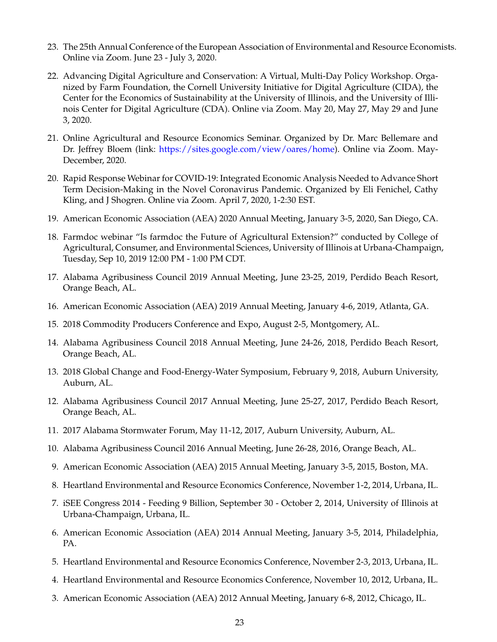- 23. The 25th Annual Conference of the European Association of Environmental and Resource Economists. Online via Zoom. June 23 - July 3, 2020.
- 22. Advancing Digital Agriculture and Conservation: A Virtual, Multi-Day Policy Workshop. Organized by Farm Foundation, the Cornell University Initiative for Digital Agriculture (CIDA), the Center for the Economics of Sustainability at the University of Illinois, and the University of Illinois Center for Digital Agriculture (CDA). Online via Zoom. May 20, May 27, May 29 and June 3, 2020.
- 21. Online Agricultural and Resource Economics Seminar. Organized by Dr. Marc Bellemare and Dr. Jeffrey Bloem (link: [https://sites.google.com/view/oares/home\)](https://sites.google.com/view/oares/home). Online via Zoom. May-December, 2020.
- 20. Rapid Response Webinar for COVID-19: Integrated Economic Analysis Needed to Advance Short Term Decision-Making in the Novel Coronavirus Pandemic. Organized by Eli Fenichel, Cathy Kling, and J Shogren. Online via Zoom. April 7, 2020, 1-2:30 EST.
- 19. American Economic Association (AEA) 2020 Annual Meeting, January 3-5, 2020, San Diego, CA.
- 18. Farmdoc webinar "Is farmdoc the Future of Agricultural Extension?" conducted by College of Agricultural, Consumer, and Environmental Sciences, University of Illinois at Urbana-Champaign, Tuesday, Sep 10, 2019 12:00 PM - 1:00 PM CDT.
- 17. Alabama Agribusiness Council 2019 Annual Meeting, June 23-25, 2019, Perdido Beach Resort, Orange Beach, AL.
- 16. American Economic Association (AEA) 2019 Annual Meeting, January 4-6, 2019, Atlanta, GA.
- 15. 2018 Commodity Producers Conference and Expo, August 2-5, Montgomery, AL.
- 14. Alabama Agribusiness Council 2018 Annual Meeting, June 24-26, 2018, Perdido Beach Resort, Orange Beach, AL.
- 13. 2018 Global Change and Food-Energy-Water Symposium, February 9, 2018, Auburn University, Auburn, AL.
- 12. Alabama Agribusiness Council 2017 Annual Meeting, June 25-27, 2017, Perdido Beach Resort, Orange Beach, AL.
- 11. 2017 Alabama Stormwater Forum, May 11-12, 2017, Auburn University, Auburn, AL.
- 10. Alabama Agribusiness Council 2016 Annual Meeting, June 26-28, 2016, Orange Beach, AL.
- 9. American Economic Association (AEA) 2015 Annual Meeting, January 3-5, 2015, Boston, MA.
- 8. Heartland Environmental and Resource Economics Conference, November 1-2, 2014, Urbana, IL.
- 7. iSEE Congress 2014 Feeding 9 Billion, September 30 October 2, 2014, University of Illinois at Urbana-Champaign, Urbana, IL.
- 6. American Economic Association (AEA) 2014 Annual Meeting, January 3-5, 2014, Philadelphia, PA.
- 5. Heartland Environmental and Resource Economics Conference, November 2-3, 2013, Urbana, IL.
- 4. Heartland Environmental and Resource Economics Conference, November 10, 2012, Urbana, IL.
- 3. American Economic Association (AEA) 2012 Annual Meeting, January 6-8, 2012, Chicago, IL.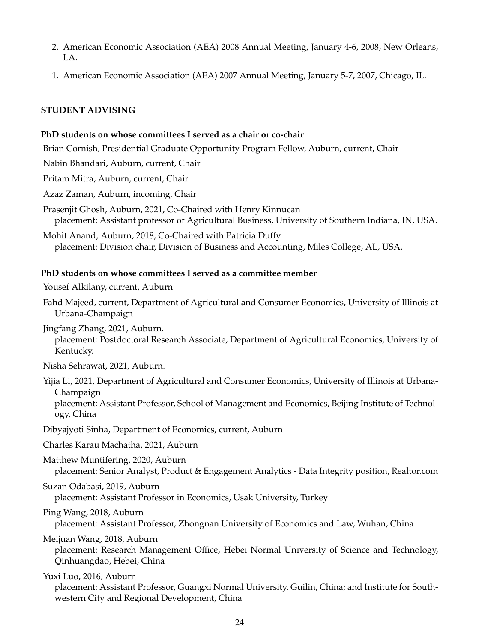- 2. American Economic Association (AEA) 2008 Annual Meeting, January 4-6, 2008, New Orleans, LA.
- 1. American Economic Association (AEA) 2007 Annual Meeting, January 5-7, 2007, Chicago, IL.

# **STUDENT ADVISING**

## **PhD students on whose committees I served as a chair or co-chair**

Brian Cornish, Presidential Graduate Opportunity Program Fellow, Auburn, current, Chair

Nabin Bhandari, Auburn, current, Chair

Pritam Mitra, Auburn, current, Chair

Azaz Zaman, Auburn, incoming, Chair

Prasenjit Ghosh, Auburn, 2021, Co-Chaired with Henry Kinnucan placement: Assistant professor of Agricultural Business, University of Southern Indiana, IN, USA.

Mohit Anand, Auburn, 2018, Co-Chaired with Patricia Duffy placement: Division chair, Division of Business and Accounting, Miles College, AL, USA.

## **PhD students on whose committees I served as a committee member**

Yousef Alkilany, current, Auburn

Fahd Majeed, current, Department of Agricultural and Consumer Economics, University of Illinois at Urbana-Champaign

Jingfang Zhang, 2021, Auburn. placement: Postdoctoral Research Associate, Department of Agricultural Economics, University of Kentucky.

Nisha Sehrawat, 2021, Auburn.

Yijia Li, 2021, Department of Agricultural and Consumer Economics, University of Illinois at Urbana-Champaign

placement: Assistant Professor, School of Management and Economics, Beijing Institute of Technology, China

Dibyajyoti Sinha, Department of Economics, current, Auburn

Charles Karau Machatha, 2021, Auburn

Matthew Muntifering, 2020, Auburn placement: Senior Analyst, Product & Engagement Analytics - Data Integrity position, Realtor.com

Suzan Odabasi, 2019, Auburn placement: Assistant Professor in Economics, Usak University, Turkey

Ping Wang, 2018, Auburn placement: Assistant Professor, Zhongnan University of Economics and Law, Wuhan, China

Meijuan Wang, 2018, Auburn

placement: Research Management Office, Hebei Normal University of Science and Technology, Qinhuangdao, Hebei, China

Yuxi Luo, 2016, Auburn placement: Assistant Professor, Guangxi Normal University, Guilin, China; and Institute for Southwestern City and Regional Development, China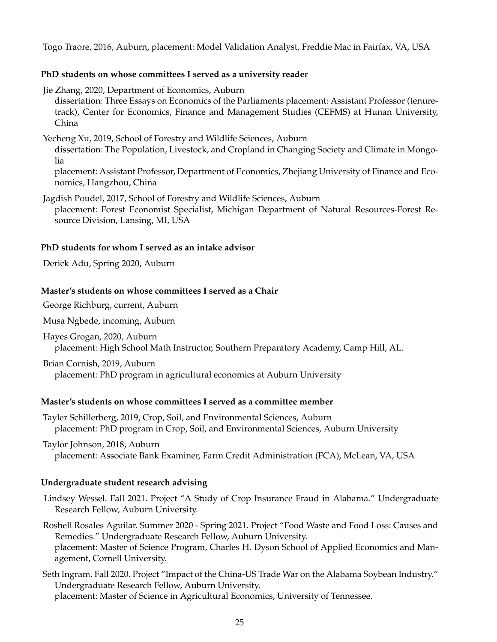Togo Traore, 2016, Auburn, placement: Model Validation Analyst, Freddie Mac in Fairfax, VA, USA

## **PhD students on whose committees I served as a university reader**

Jie Zhang, 2020, Department of Economics, Auburn dissertation: Three Essays on Economics of the Parliaments placement: Assistant Professor (tenuretrack), Center for Economics, Finance and Management Studies (CEFMS) at Hunan University, China

Yecheng Xu, 2019, School of Forestry and Wildlife Sciences, Auburn dissertation: The Population, Livestock, and Cropland in Changing Society and Climate in Mongolia placement: Assistant Professor, Department of Economics, Zhejiang University of Finance and Eco-

Jagdish Poudel, 2017, School of Forestry and Wildlife Sciences, Auburn placement: Forest Economist Specialist, Michigan Department of Natural Resources-Forest Resource Division, Lansing, MI, USA

## **PhD students for whom I served as an intake advisor**

Derick Adu, Spring 2020, Auburn

nomics, Hangzhou, China

## **Master's students on whose committees I served as a Chair**

George Richburg, current, Auburn

Musa Ngbede, incoming, Auburn

Hayes Grogan, 2020, Auburn placement: High School Math Instructor, Southern Preparatory Academy, Camp Hill, AL.

Brian Cornish, 2019, Auburn placement: PhD program in agricultural economics at Auburn University

#### **Master's students on whose committees I served as a committee member**

Tayler Schillerberg, 2019, Crop, Soil, and Environmental Sciences, Auburn placement: PhD program in Crop, Soil, and Environmental Sciences, Auburn University

Taylor Johnson, 2018, Auburn placement: Associate Bank Examiner, Farm Credit Administration (FCA), McLean, VA, USA

## **Undergraduate student research advising**

Lindsey Wessel. Fall 2021. Project "A Study of Crop Insurance Fraud in Alabama." Undergraduate Research Fellow, Auburn University.

Roshell Rosales Aguilar. Summer 2020 - Spring 2021. Project "Food Waste and Food Loss: Causes and Remedies." Undergraduate Research Fellow, Auburn University. placement: Master of Science Program, Charles H. Dyson School of Applied Economics and Management, Cornell University.

Seth Ingram. Fall 2020. Project "Impact of the China-US Trade War on the Alabama Soybean Industry." Undergraduate Research Fellow, Auburn University.

placement: Master of Science in Agricultural Economics, University of Tennessee.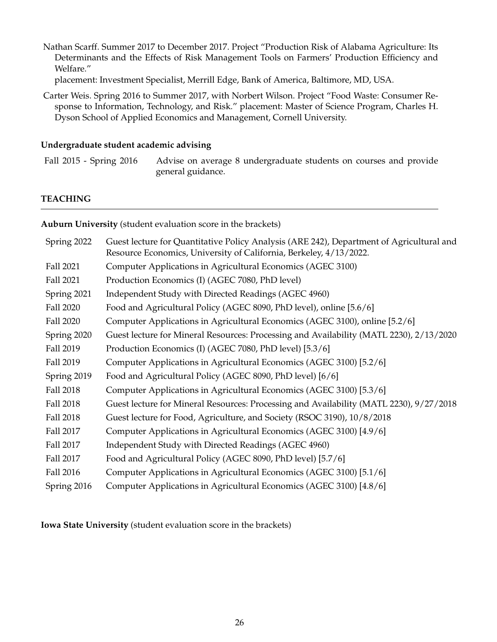Nathan Scarff. Summer 2017 to December 2017. Project "Production Risk of Alabama Agriculture: Its Determinants and the Effects of Risk Management Tools on Farmers' Production Efficiency and Welfare."

placement: Investment Specialist, Merrill Edge, Bank of America, Baltimore, MD, USA.

Carter Weis. Spring 2016 to Summer 2017, with Norbert Wilson. Project "Food Waste: Consumer Response to Information, Technology, and Risk." placement: Master of Science Program, Charles H. Dyson School of Applied Economics and Management, Cornell University.

#### **Undergraduate student academic advising**

Fall 2015 - Spring 2016 Advise on average 8 undergraduate students on courses and provide general guidance.

## **TEACHING**

**Auburn University** (student evaluation score in the brackets)

| Spring 2022 | Guest lecture for Quantitative Policy Analysis (ARE 242), Department of Agricultural and<br>Resource Economics, University of California, Berkeley, 4/13/2022. |
|-------------|----------------------------------------------------------------------------------------------------------------------------------------------------------------|
| Fall 2021   | Computer Applications in Agricultural Economics (AGEC 3100)                                                                                                    |
| Fall 2021   | Production Economics (I) (AGEC 7080, PhD level)                                                                                                                |
| Spring 2021 | Independent Study with Directed Readings (AGEC 4960)                                                                                                           |
| Fall 2020   | Food and Agricultural Policy (AGEC 8090, PhD level), online [5.6/6]                                                                                            |
| Fall 2020   | Computer Applications in Agricultural Economics (AGEC 3100), online [5.2/6]                                                                                    |
| Spring 2020 | Guest lecture for Mineral Resources: Processing and Availability (MATL 2230), 2/13/2020                                                                        |
| Fall 2019   | Production Economics (I) (AGEC 7080, PhD level) [5.3/6]                                                                                                        |
| Fall 2019   | Computer Applications in Agricultural Economics (AGEC 3100) [5.2/6]                                                                                            |
| Spring 2019 | Food and Agricultural Policy (AGEC 8090, PhD level) [6/6]                                                                                                      |
| Fall 2018   | Computer Applications in Agricultural Economics (AGEC 3100) [5.3/6]                                                                                            |
| Fall 2018   | Guest lecture for Mineral Resources: Processing and Availability (MATL 2230), 9/27/2018                                                                        |
| Fall 2018   | Guest lecture for Food, Agriculture, and Society (RSOC 3190), 10/8/2018                                                                                        |
| Fall 2017   | Computer Applications in Agricultural Economics (AGEC 3100) [4.9/6]                                                                                            |
| Fall 2017   | Independent Study with Directed Readings (AGEC 4960)                                                                                                           |
| Fall 2017   | Food and Agricultural Policy (AGEC 8090, PhD level) [5.7/6]                                                                                                    |
| Fall 2016   | Computer Applications in Agricultural Economics (AGEC 3100) [5.1/6]                                                                                            |
| Spring 2016 | Computer Applications in Agricultural Economics (AGEC 3100) [4.8/6]                                                                                            |

**Iowa State University** (student evaluation score in the brackets)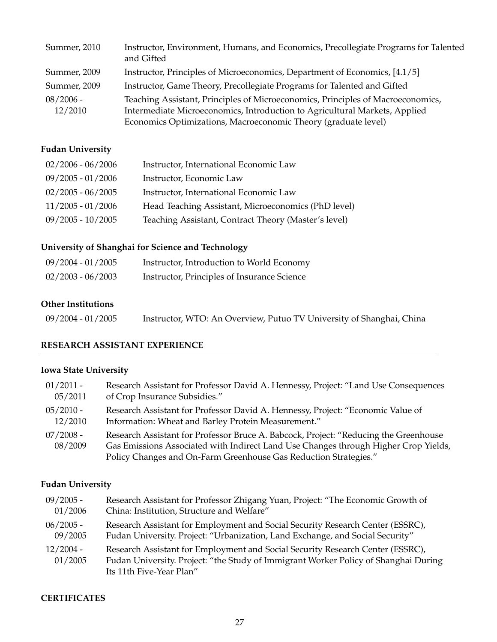| Summer, 2010           | Instructor, Environment, Humans, and Economics, Precollegiate Programs for Talented<br>and Gifted                                                                                                                               |
|------------------------|---------------------------------------------------------------------------------------------------------------------------------------------------------------------------------------------------------------------------------|
| Summer, 2009           | Instructor, Principles of Microeconomics, Department of Economics, [4.1/5]                                                                                                                                                      |
| Summer, 2009           | Instructor, Game Theory, Precollegiate Programs for Talented and Gifted                                                                                                                                                         |
| $08/2006$ -<br>12/2010 | Teaching Assistant, Principles of Microeconomics, Principles of Macroeconomics,<br>Intermediate Microeconomics, Introduction to Agricultural Markets, Applied<br>Economics Optimizations, Macroeconomic Theory (graduate level) |

# **Fudan University**

| $02/2006 - 06/2006$ | Instructor, International Economic Law               |
|---------------------|------------------------------------------------------|
| $09/2005 - 01/2006$ | Instructor, Economic Law                             |
| $02/2005 - 06/2005$ | Instructor, International Economic Law               |
| $11/2005 - 01/2006$ | Head Teaching Assistant, Microeconomics (PhD level)  |
| $09/2005 - 10/2005$ | Teaching Assistant, Contract Theory (Master's level) |

# **University of Shanghai for Science and Technology**

| $09/2004 - 01/2005$ | Instructor, Introduction to World Economy   |
|---------------------|---------------------------------------------|
| $02/2003 - 06/2003$ | Instructor, Principles of Insurance Science |

# **Other Institutions**

| 09/2004 - 01/2005 | Instructor, WTO: An Overview, Putuo TV University of Shanghai, China |  |
|-------------------|----------------------------------------------------------------------|--|
|-------------------|----------------------------------------------------------------------|--|

# **RESEARCH ASSISTANT EXPERIENCE**

# **Iowa State University**

| $01/2011$ -            | Research Assistant for Professor David A. Hennessy, Project: "Land Use Consequences                                                                                                                                                             |
|------------------------|-------------------------------------------------------------------------------------------------------------------------------------------------------------------------------------------------------------------------------------------------|
| 05/2011                | of Crop Insurance Subsidies."                                                                                                                                                                                                                   |
| $05/2010 -$<br>12/2010 | Research Assistant for Professor David A. Hennessy, Project: "Economic Value of<br>Information: Wheat and Barley Protein Measurement."                                                                                                          |
| $07/2008$ -<br>08/2009 | Research Assistant for Professor Bruce A. Babcock, Project: "Reducing the Greenhouse<br>Gas Emissions Associated with Indirect Land Use Changes through Higher Crop Yields,<br>Policy Changes and On-Farm Greenhouse Gas Reduction Strategies." |

# **Fudan University**

| $09/2005$ -            | Research Assistant for Professor Zhigang Yuan, Project: "The Economic Growth of                                                                                                                   |
|------------------------|---------------------------------------------------------------------------------------------------------------------------------------------------------------------------------------------------|
| 01/2006                | China: Institution, Structure and Welfare"                                                                                                                                                        |
| $06/2005 -$<br>09/2005 | Research Assistant for Employment and Social Security Research Center (ESSRC),<br>Fudan University. Project: "Urbanization, Land Exchange, and Social Security"                                   |
| $12/2004 -$<br>01/2005 | Research Assistant for Employment and Social Security Research Center (ESSRC),<br>Fudan University. Project: "the Study of Immigrant Worker Policy of Shanghai During<br>Its 11th Five-Year Plan" |

# **CERTIFICATES**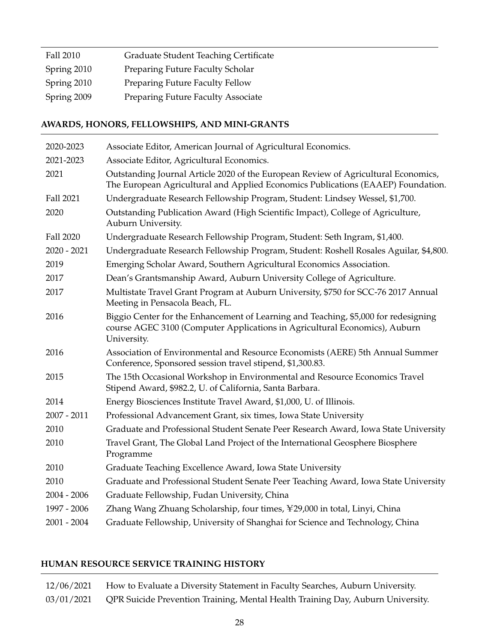| Fall 2010   | Graduate Student Teaching Certificate |
|-------------|---------------------------------------|
| Spring 2010 | Preparing Future Faculty Scholar      |
| Spring 2010 | Preparing Future Faculty Fellow       |
| Spring 2009 | Preparing Future Faculty Associate    |

# **AWARDS, HONORS, FELLOWSHIPS, AND MINI-GRANTS**

| 2020-2023     | Associate Editor, American Journal of Agricultural Economics.                                                                                                                    |
|---------------|----------------------------------------------------------------------------------------------------------------------------------------------------------------------------------|
| 2021-2023     | Associate Editor, Agricultural Economics.                                                                                                                                        |
| 2021          | Outstanding Journal Article 2020 of the European Review of Agricultural Economics,<br>The European Agricultural and Applied Economics Publications (EAAEP) Foundation.           |
| Fall 2021     | Undergraduate Research Fellowship Program, Student: Lindsey Wessel, \$1,700.                                                                                                     |
| 2020          | Outstanding Publication Award (High Scientific Impact), College of Agriculture,<br>Auburn University.                                                                            |
| Fall 2020     | Undergraduate Research Fellowship Program, Student: Seth Ingram, \$1,400.                                                                                                        |
| $2020 - 2021$ | Undergraduate Research Fellowship Program, Student: Roshell Rosales Aguilar, \$4,800.                                                                                            |
| 2019          | Emerging Scholar Award, Southern Agricultural Economics Association.                                                                                                             |
| 2017          | Dean's Grantsmanship Award, Auburn University College of Agriculture.                                                                                                            |
| 2017          | Multistate Travel Grant Program at Auburn University, \$750 for SCC-76 2017 Annual<br>Meeting in Pensacola Beach, FL.                                                            |
| 2016          | Biggio Center for the Enhancement of Learning and Teaching, \$5,000 for redesigning<br>course AGEC 3100 (Computer Applications in Agricultural Economics), Auburn<br>University. |
| 2016          | Association of Environmental and Resource Economists (AERE) 5th Annual Summer<br>Conference, Sponsored session travel stipend, \$1,300.83.                                       |
| 2015          | The 15th Occasional Workshop in Environmental and Resource Economics Travel<br>Stipend Award, \$982.2, U. of California, Santa Barbara.                                          |
| 2014          | Energy Biosciences Institute Travel Award, \$1,000, U. of Illinois.                                                                                                              |
| $2007 - 2011$ | Professional Advancement Grant, six times, Iowa State University                                                                                                                 |
| 2010          | Graduate and Professional Student Senate Peer Research Award, Iowa State University                                                                                              |
| 2010          | Travel Grant, The Global Land Project of the International Geosphere Biosphere<br>Programme                                                                                      |
| 2010          | Graduate Teaching Excellence Award, Iowa State University                                                                                                                        |
| 2010          | Graduate and Professional Student Senate Peer Teaching Award, Iowa State University                                                                                              |
| $2004 - 2006$ | Graduate Fellowship, Fudan University, China                                                                                                                                     |
| 1997 - 2006   | Zhang Wang Zhuang Scholarship, four times, ¥29,000 in total, Linyi, China                                                                                                        |
| $2001 - 2004$ | Graduate Fellowship, University of Shanghai for Science and Technology, China                                                                                                    |

# **HUMAN RESOURCE SERVICE TRAINING HISTORY**

| 12/06/2021 | How to Evaluate a Diversity Statement in Faculty Searches, Auburn University.              |
|------------|--------------------------------------------------------------------------------------------|
|            | 03/01/2021 QPR Suicide Prevention Training, Mental Health Training Day, Auburn University. |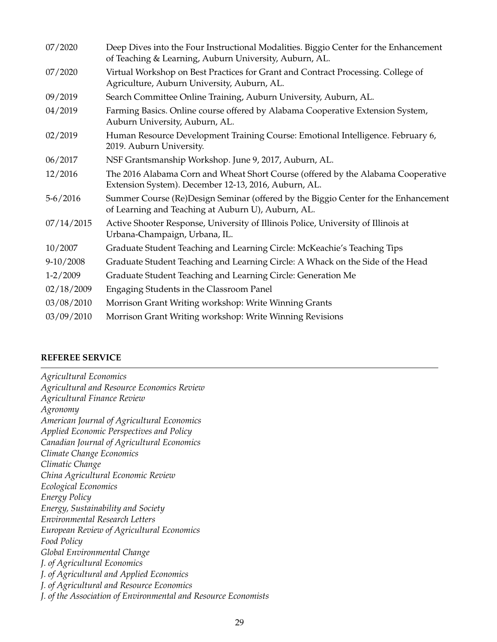| 07/2020      | Deep Dives into the Four Instructional Modalities. Biggio Center for the Enhancement<br>of Teaching & Learning, Auburn University, Auburn, AL. |
|--------------|------------------------------------------------------------------------------------------------------------------------------------------------|
| 07/2020      | Virtual Workshop on Best Practices for Grant and Contract Processing. College of<br>Agriculture, Auburn University, Auburn, AL.                |
| 09/2019      | Search Committee Online Training, Auburn University, Auburn, AL.                                                                               |
| 04/2019      | Farming Basics. Online course offered by Alabama Cooperative Extension System,<br>Auburn University, Auburn, AL.                               |
| 02/2019      | Human Resource Development Training Course: Emotional Intelligence. February 6,<br>2019. Auburn University.                                    |
| 06/2017      | NSF Grantsmanship Workshop. June 9, 2017, Auburn, AL.                                                                                          |
| 12/2016      | The 2016 Alabama Corn and Wheat Short Course (offered by the Alabama Cooperative<br>Extension System). December 12-13, 2016, Auburn, AL.       |
| $5 - 6/2016$ | Summer Course (Re)Design Seminar (offered by the Biggio Center for the Enhancement<br>of Learning and Teaching at Auburn U), Auburn, AL.       |
| 07/14/2015   | Active Shooter Response, University of Illinois Police, University of Illinois at<br>Urbana-Champaign, Urbana, IL.                             |
| 10/2007      | Graduate Student Teaching and Learning Circle: McKeachie's Teaching Tips                                                                       |
| $9-10/2008$  | Graduate Student Teaching and Learning Circle: A Whack on the Side of the Head                                                                 |
| $1 - 2/2009$ | Graduate Student Teaching and Learning Circle: Generation Me                                                                                   |
| 02/18/2009   | Engaging Students in the Classroom Panel                                                                                                       |
| 03/08/2010   | Morrison Grant Writing workshop: Write Winning Grants                                                                                          |
| 03/09/2010   | Morrison Grant Writing workshop: Write Winning Revisions                                                                                       |

## **REFEREE SERVICE**

*Agricultural Economics Agricultural and Resource Economics Review Agricultural Finance Review Agronomy American Journal of Agricultural Economics Applied Economic Perspectives and Policy Canadian Journal of Agricultural Economics Climate Change Economics Climatic Change China Agricultural Economic Review Ecological Economics Energy Policy Energy, Sustainability and Society Environmental Research Letters European Review of Agricultural Economics Food Policy Global Environmental Change J. of Agricultural Economics J. of Agricultural and Applied Economics J. of Agricultural and Resource Economics J. of the Association of Environmental and Resource Economists*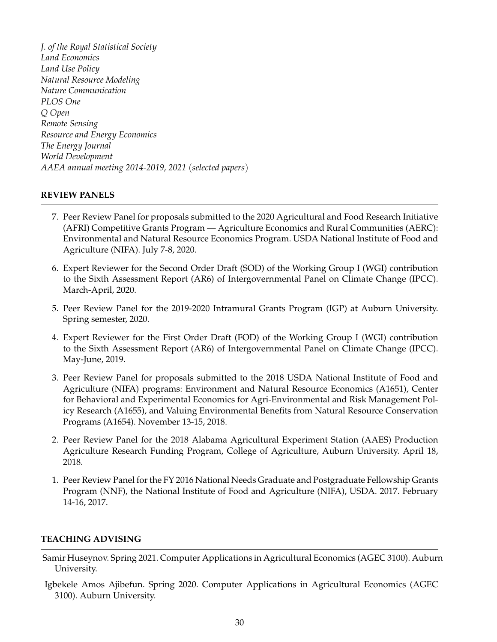*J. of the Royal Statistical Society Land Economics Land Use Policy Natural Resource Modeling Nature Communication PLOS One Q Open Remote Sensing Resource and Energy Economics The Energy Journal World Development AAEA annual meeting 2014-2019, 2021* (*selected papers*)

# **REVIEW PANELS**

- 7. Peer Review Panel for proposals submitted to the 2020 Agricultural and Food Research Initiative (AFRI) Competitive Grants Program — Agriculture Economics and Rural Communities (AERC): Environmental and Natural Resource Economics Program. USDA National Institute of Food and Agriculture (NIFA). July 7-8, 2020.
- 6. Expert Reviewer for the Second Order Draft (SOD) of the Working Group I (WGI) contribution to the Sixth Assessment Report (AR6) of Intergovernmental Panel on Climate Change (IPCC). March-April, 2020.
- 5. Peer Review Panel for the 2019-2020 Intramural Grants Program (IGP) at Auburn University. Spring semester, 2020.
- 4. Expert Reviewer for the First Order Draft (FOD) of the Working Group I (WGI) contribution to the Sixth Assessment Report (AR6) of Intergovernmental Panel on Climate Change (IPCC). May-June, 2019.
- 3. Peer Review Panel for proposals submitted to the 2018 USDA National Institute of Food and Agriculture (NIFA) programs: Environment and Natural Resource Economics (A1651), Center for Behavioral and Experimental Economics for Agri-Environmental and Risk Management Policy Research (A1655), and Valuing Environmental Benefits from Natural Resource Conservation Programs (A1654). November 13-15, 2018.
- 2. Peer Review Panel for the 2018 Alabama Agricultural Experiment Station (AAES) Production Agriculture Research Funding Program, College of Agriculture, Auburn University. April 18, 2018.
- 1. Peer Review Panel for the FY 2016 National Needs Graduate and Postgraduate Fellowship Grants Program (NNF), the National Institute of Food and Agriculture (NIFA), USDA. 2017. February 14-16, 2017.

# **TEACHING ADVISING**

- Samir Huseynov. Spring 2021. Computer Applications in Agricultural Economics (AGEC 3100). Auburn University.
- Igbekele Amos Ajibefun. Spring 2020. Computer Applications in Agricultural Economics (AGEC 3100). Auburn University.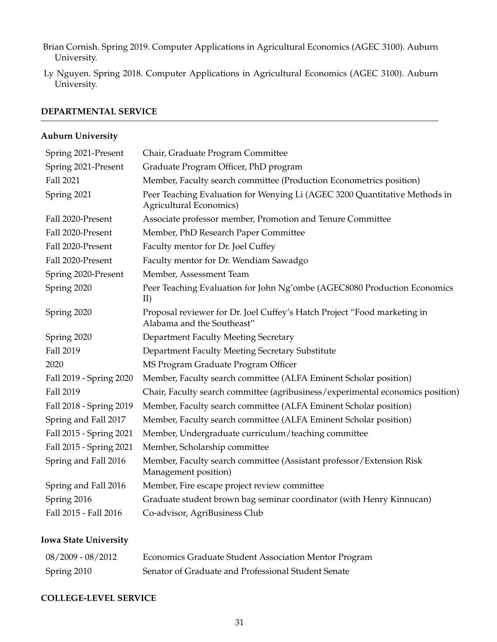Brian Cornish. Spring 2019. Computer Applications in Agricultural Economics (AGEC 3100). Auburn University.

Ly Nguyen. Spring 2018. Computer Applications in Agricultural Economics (AGEC 3100). Auburn University.

## **DEPARTMENTAL SERVICE**

## **Auburn University**

| Spring 2021-Present     | Chair, Graduate Program Committee                                                                      |
|-------------------------|--------------------------------------------------------------------------------------------------------|
| Spring 2021-Present     | Graduate Program Officer, PhD program                                                                  |
| Fall 2021               | Member, Faculty search committee (Production Econometrics position)                                    |
| Spring 2021             | Peer Teaching Evaluation for Wenying Li (AGEC 3200 Quantitative Methods in<br>Agricultural Economics)  |
| Fall 2020-Present       | Associate professor member, Promotion and Tenure Committee                                             |
| Fall 2020-Present       | Member, PhD Research Paper Committee                                                                   |
| Fall 2020-Present       | Faculty mentor for Dr. Joel Cuffey                                                                     |
| Fall 2020-Present       | Faculty mentor for Dr. Wendiam Sawadgo                                                                 |
| Spring 2020-Present     | Member, Assessment Team                                                                                |
| Spring 2020             | Peer Teaching Evaluation for John Ng'ombe (AGEC8080 Production Economics<br>II)                        |
| Spring 2020             | Proposal reviewer for Dr. Joel Cuffey's Hatch Project "Food marketing in<br>Alabama and the Southeast" |
| Spring 2020             | <b>Department Faculty Meeting Secretary</b>                                                            |
| Fall 2019               | Department Faculty Meeting Secretary Substitute                                                        |
| 2020                    | MS Program Graduate Program Officer                                                                    |
| Fall 2019 - Spring 2020 | Member, Faculty search committee (ALFA Eminent Scholar position)                                       |
| Fall 2019               | Chair, Faculty search committee (agribusiness/experimental economics position)                         |
| Fall 2018 - Spring 2019 | Member, Faculty search committee (ALFA Eminent Scholar position)                                       |
| Spring and Fall 2017    | Member, Faculty search committee (ALFA Eminent Scholar position)                                       |
| Fall 2015 - Spring 2021 | Member, Undergraduate curriculum/teaching committee                                                    |
| Fall 2015 - Spring 2021 | Member, Scholarship committee                                                                          |
| Spring and Fall 2016    | Member, Faculty search committee (Assistant professor/Extension Risk<br>Management position)           |
| Spring and Fall 2016    | Member, Fire escape project review committee                                                           |
| Spring 2016             | Graduate student brown bag seminar coordinator (with Henry Kinnucan)                                   |
| Fall 2015 - Fall 2016   | Co-advisor, AgriBusiness Club                                                                          |
|                         |                                                                                                        |

# **Iowa State University**

| 08/2009 - 08/2012 | Economics Graduate Student Association Mentor Program |
|-------------------|-------------------------------------------------------|
| Spring 2010       | Senator of Graduate and Professional Student Senate   |

## **COLLEGE-LEVEL SERVICE**